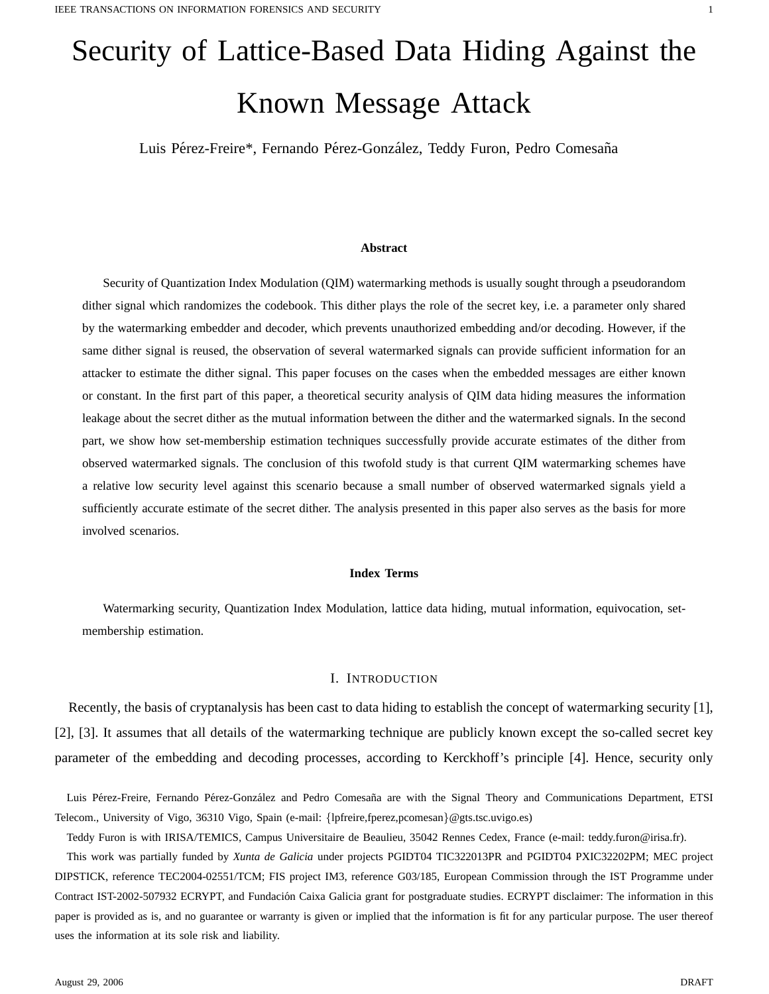# Security of Lattice-Based Data Hiding Against the Known Message Attack

Luis Pérez-Freire\*, Fernando Pérez-González, Teddy Furon, Pedro Comesaña

### **Abstract**

Security of Quantization Index Modulation (QIM) watermarking methods is usually sought through a pseudorandom dither signal which randomizes the codebook. This dither plays the role of the secret key, i.e. a parameter only shared by the watermarking embedder and decoder, which prevents unauthorized embedding and/or decoding. However, if the same dither signal is reused, the observation of several watermarked signals can provide sufficient information for an attacker to estimate the dither signal. This paper focuses on the cases when the embedded messages are either known or constant. In the first part of this paper, a theoretical security analysis of QIM data hiding measures the information leakage about the secret dither as the mutual information between the dither and the watermarked signals. In the second part, we show how set-membership estimation techniques successfully provide accurate estimates of the dither from observed watermarked signals. The conclusion of this twofold study is that current QIM watermarking schemes have a relative low security level against this scenario because a small number of observed watermarked signals yield a sufficiently accurate estimate of the secret dither. The analysis presented in this paper also serves as the basis for more involved scenarios.

### **Index Terms**

Watermarking security, Quantization Index Modulation, lattice data hiding, mutual information, equivocation, setmembership estimation.

#### I. INTRODUCTION

Recently, the basis of cryptanalysis has been cast to data hiding to establish the concept of watermarking security [1], [2], [3]. It assumes that all details of the watermarking technique are publicly known except the so-called secret key parameter of the embedding and decoding processes, according to Kerckhoff's principle [4]. Hence, security only

Luis Pérez-Freire, Fernando Pérez-González and Pedro Comesaña are with the Signal Theory and Communications Department, ETSI Telecom., University of Vigo, 36310 Vigo, Spain (e-mail: {lpfreire,fperez,pcomesan}@gts.tsc.uvigo.es)

Teddy Furon is with IRISA/TEMICS, Campus Universitaire de Beaulieu, 35042 Rennes Cedex, France (e-mail: teddy.furon@irisa.fr).

This work was partially funded by *Xunta de Galicia* under projects PGIDT04 TIC322013PR and PGIDT04 PXIC32202PM; MEC project DIPSTICK, reference TEC2004-02551/TCM; FIS project IM3, reference G03/185, European Commission through the IST Programme under Contract IST-2002-507932 ECRYPT, and Fundación Caixa Galicia grant for postgraduate studies. ECRYPT disclaimer: The information in this paper is provided as is, and no guarantee or warranty is given or implied that the information is fit for any particular purpose. The user thereof uses the information at its sole risk and liability.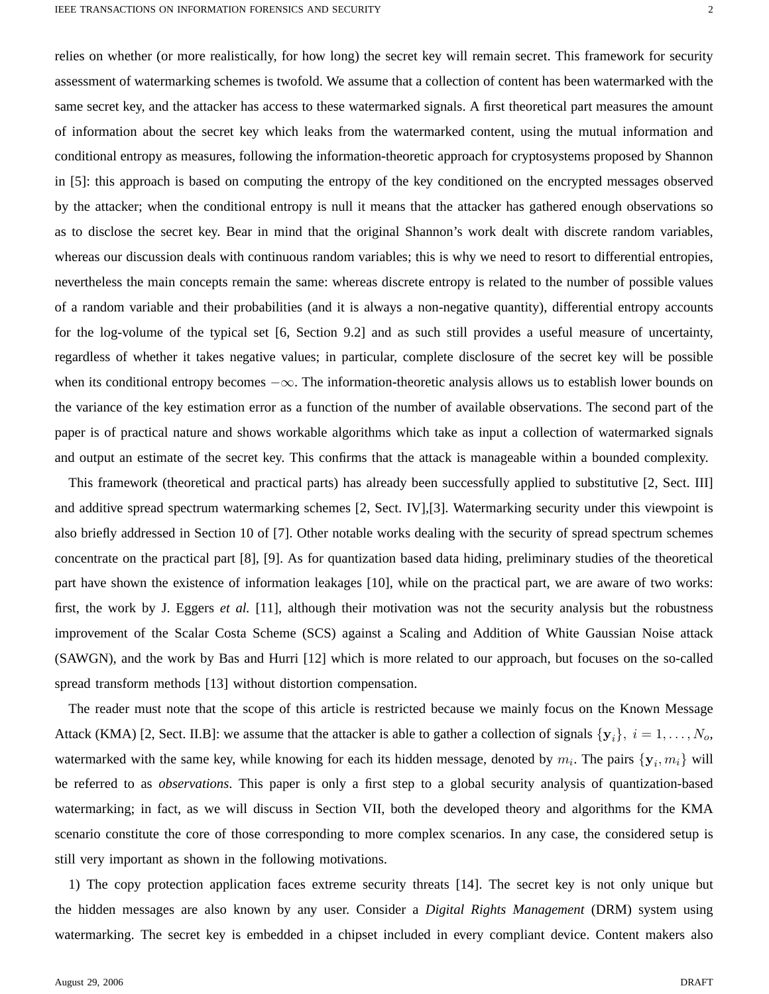relies on whether (or more realistically, for how long) the secret key will remain secret. This framework for security assessment of watermarking schemes is twofold. We assume that a collection of content has been watermarked with the same secret key, and the attacker has access to these watermarked signals. A first theoretical part measures the amount of information about the secret key which leaks from the watermarked content, using the mutual information and conditional entropy as measures, following the information-theoretic approach for cryptosystems proposed by Shannon in [5]: this approach is based on computing the entropy of the key conditioned on the encrypted messages observed by the attacker; when the conditional entropy is null it means that the attacker has gathered enough observations so as to disclose the secret key. Bear in mind that the original Shannon's work dealt with discrete random variables, whereas our discussion deals with continuous random variables; this is why we need to resort to differential entropies, nevertheless the main concepts remain the same: whereas discrete entropy is related to the number of possible values of a random variable and their probabilities (and it is always a non-negative quantity), differential entropy accounts for the log-volume of the typical set [6, Section 9.2] and as such still provides a useful measure of uncertainty, regardless of whether it takes negative values; in particular, complete disclosure of the secret key will be possible when its conditional entropy becomes  $-\infty$ . The information-theoretic analysis allows us to establish lower bounds on the variance of the key estimation error as a function of the number of available observations. The second part of the paper is of practical nature and shows workable algorithms which take as input a collection of watermarked signals and output an estimate of the secret key. This confirms that the attack is manageable within a bounded complexity.

This framework (theoretical and practical parts) has already been successfully applied to substitutive [2, Sect. III] and additive spread spectrum watermarking schemes [2, Sect. IV],[3]. Watermarking security under this viewpoint is also briefly addressed in Section 10 of [7]. Other notable works dealing with the security of spread spectrum schemes concentrate on the practical part [8], [9]. As for quantization based data hiding, preliminary studies of the theoretical part have shown the existence of information leakages [10], while on the practical part, we are aware of two works: first, the work by J. Eggers *et al.* [11], although their motivation was not the security analysis but the robustness improvement of the Scalar Costa Scheme (SCS) against a Scaling and Addition of White Gaussian Noise attack (SAWGN), and the work by Bas and Hurri [12] which is more related to our approach, but focuses on the so-called spread transform methods [13] without distortion compensation.

The reader must note that the scope of this article is restricted because we mainly focus on the Known Message Attack (KMA) [2, Sect. II.B]: we assume that the attacker is able to gather a collection of signals  $\{y_i\}, i = 1, \ldots, N_o$ , watermarked with the same key, while knowing for each its hidden message, denoted by  $m_i$ . The pairs  $\{y_i, m_i\}$  will be referred to as *observations*. This paper is only a first step to a global security analysis of quantization-based watermarking; in fact, as we will discuss in Section VII, both the developed theory and algorithms for the KMA scenario constitute the core of those corresponding to more complex scenarios. In any case, the considered setup is still very important as shown in the following motivations.

1) The copy protection application faces extreme security threats [14]. The secret key is not only unique but the hidden messages are also known by any user. Consider a *Digital Rights Management* (DRM) system using watermarking. The secret key is embedded in a chipset included in every compliant device. Content makers also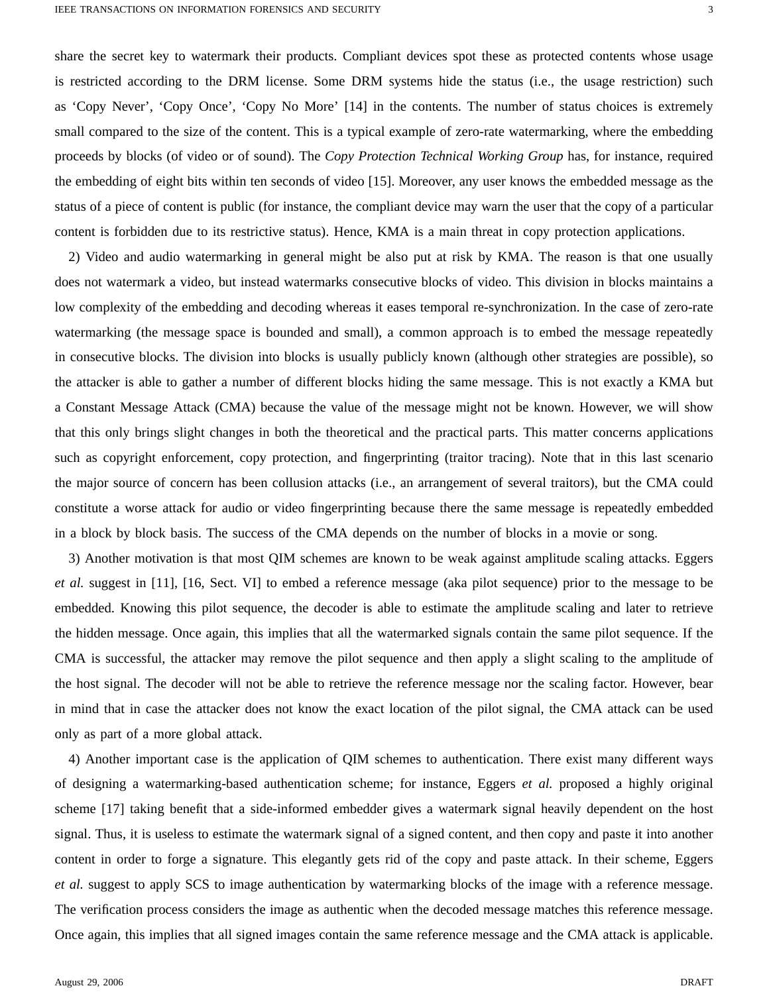share the secret key to watermark their products. Compliant devices spot these as protected contents whose usage is restricted according to the DRM license. Some DRM systems hide the status (i.e., the usage restriction) such as 'Copy Never', 'Copy Once', 'Copy No More' [14] in the contents. The number of status choices is extremely small compared to the size of the content. This is a typical example of zero-rate watermarking, where the embedding proceeds by blocks (of video or of sound). The *Copy Protection Technical Working Group* has, for instance, required the embedding of eight bits within ten seconds of video [15]. Moreover, any user knows the embedded message as the status of a piece of content is public (for instance, the compliant device may warn the user that the copy of a particular content is forbidden due to its restrictive status). Hence, KMA is a main threat in copy protection applications.

2) Video and audio watermarking in general might be also put at risk by KMA. The reason is that one usually does not watermark a video, but instead watermarks consecutive blocks of video. This division in blocks maintains a low complexity of the embedding and decoding whereas it eases temporal re-synchronization. In the case of zero-rate watermarking (the message space is bounded and small), a common approach is to embed the message repeatedly in consecutive blocks. The division into blocks is usually publicly known (although other strategies are possible), so the attacker is able to gather a number of different blocks hiding the same message. This is not exactly a KMA but a Constant Message Attack (CMA) because the value of the message might not be known. However, we will show that this only brings slight changes in both the theoretical and the practical parts. This matter concerns applications such as copyright enforcement, copy protection, and fingerprinting (traitor tracing). Note that in this last scenario the major source of concern has been collusion attacks (i.e., an arrangement of several traitors), but the CMA could constitute a worse attack for audio or video fingerprinting because there the same message is repeatedly embedded in a block by block basis. The success of the CMA depends on the number of blocks in a movie or song.

3) Another motivation is that most QIM schemes are known to be weak against amplitude scaling attacks. Eggers *et al.* suggest in [11], [16, Sect. VI] to embed a reference message (aka pilot sequence) prior to the message to be embedded. Knowing this pilot sequence, the decoder is able to estimate the amplitude scaling and later to retrieve the hidden message. Once again, this implies that all the watermarked signals contain the same pilot sequence. If the CMA is successful, the attacker may remove the pilot sequence and then apply a slight scaling to the amplitude of the host signal. The decoder will not be able to retrieve the reference message nor the scaling factor. However, bear in mind that in case the attacker does not know the exact location of the pilot signal, the CMA attack can be used only as part of a more global attack.

4) Another important case is the application of QIM schemes to authentication. There exist many different ways of designing a watermarking-based authentication scheme; for instance, Eggers *et al.* proposed a highly original scheme [17] taking benefit that a side-informed embedder gives a watermark signal heavily dependent on the host signal. Thus, it is useless to estimate the watermark signal of a signed content, and then copy and paste it into another content in order to forge a signature. This elegantly gets rid of the copy and paste attack. In their scheme, Eggers *et al.* suggest to apply SCS to image authentication by watermarking blocks of the image with a reference message. The verification process considers the image as authentic when the decoded message matches this reference message. Once again, this implies that all signed images contain the same reference message and the CMA attack is applicable.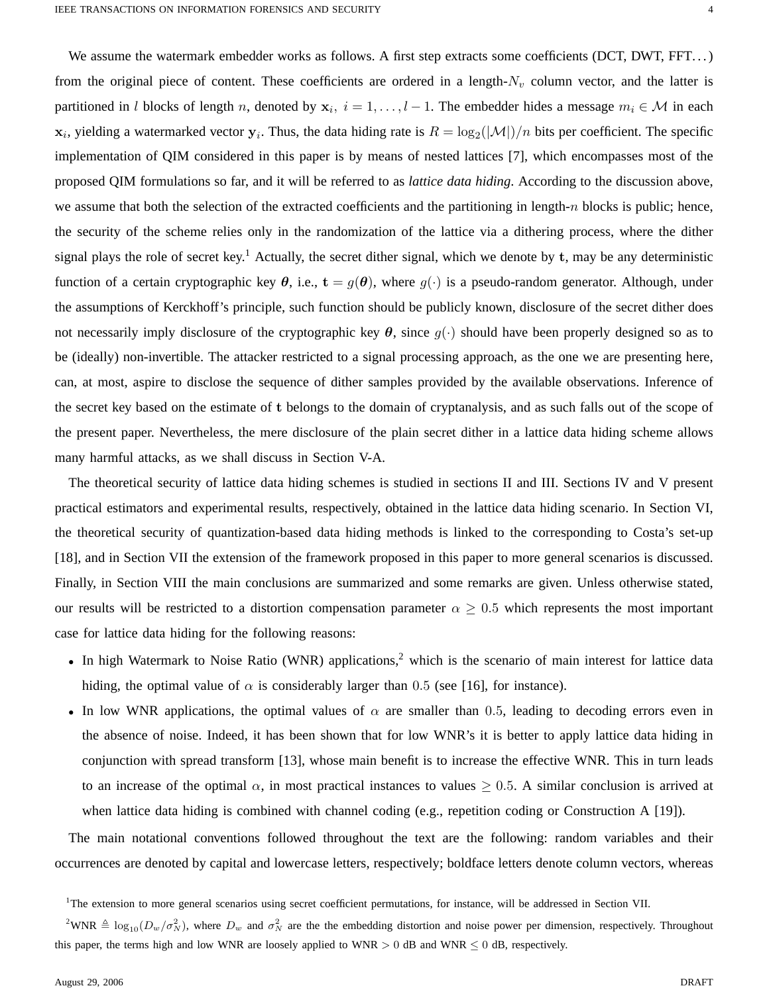We assume the watermark embedder works as follows. A first step extracts some coefficients (DCT, DWT, FFT...) from the original piece of content. These coefficients are ordered in a length- $N_v$  column vector, and the latter is partitioned in l blocks of length n, denoted by  $x_i$ ,  $i = 1, ..., l-1$ . The embedder hides a message  $m_i \in \mathcal{M}$  in each  $x_i$ , yielding a watermarked vector  $y_i$ . Thus, the data hiding rate is  $R = \log_2(|\mathcal{M}|)/n$  bits per coefficient. The specific implementation of QIM considered in this paper is by means of nested lattices [7], which encompasses most of the proposed QIM formulations so far, and it will be referred to as *lattice data hiding*. According to the discussion above, we assume that both the selection of the extracted coefficients and the partitioning in length- $n$  blocks is public; hence, the security of the scheme relies only in the randomization of the lattice via a dithering process, where the dither signal plays the role of secret key.<sup>1</sup> Actually, the secret dither signal, which we denote by  $t$ , may be any deterministic function of a certain cryptographic key  $\theta$ , i.e.,  $t = g(\theta)$ , where  $g(\cdot)$  is a pseudo-random generator. Although, under the assumptions of Kerckhoff's principle, such function should be publicly known, disclosure of the secret dither does not necessarily imply disclosure of the cryptographic key  $\theta$ , since  $g(\cdot)$  should have been properly designed so as to be (ideally) non-invertible. The attacker restricted to a signal processing approach, as the one we are presenting here, can, at most, aspire to disclose the sequence of dither samples provided by the available observations. Inference of the secret key based on the estimate of t belongs to the domain of cryptanalysis, and as such falls out of the scope of the present paper. Nevertheless, the mere disclosure of the plain secret dither in a lattice data hiding scheme allows many harmful attacks, as we shall discuss in Section V-A.

The theoretical security of lattice data hiding schemes is studied in sections II and III. Sections IV and V present practical estimators and experimental results, respectively, obtained in the lattice data hiding scenario. In Section VI, the theoretical security of quantization-based data hiding methods is linked to the corresponding to Costa's set-up [18], and in Section VII the extension of the framework proposed in this paper to more general scenarios is discussed. Finally, in Section VIII the main conclusions are summarized and some remarks are given. Unless otherwise stated, our results will be restricted to a distortion compensation parameter  $\alpha \geq 0.5$  which represents the most important case for lattice data hiding for the following reasons:

- In high Watermark to Noise Ratio (WNR) applications,<sup>2</sup> which is the scenario of main interest for lattice data hiding, the optimal value of  $\alpha$  is considerably larger than 0.5 (see [16], for instance).
- In low WNR applications, the optimal values of  $\alpha$  are smaller than 0.5, leading to decoding errors even in the absence of noise. Indeed, it has been shown that for low WNR's it is better to apply lattice data hiding in conjunction with spread transform [13], whose main benefit is to increase the effective WNR. This in turn leads to an increase of the optimal  $\alpha$ , in most practical instances to values  $\geq 0.5$ . A similar conclusion is arrived at when lattice data hiding is combined with channel coding (e.g., repetition coding or Construction A [19]).

The main notational conventions followed throughout the text are the following: random variables and their occurrences are denoted by capital and lowercase letters, respectively; boldface letters denote column vectors, whereas

<sup>2</sup>WNR  $\triangleq \log_{10}(D_w/\sigma_N^2)$ , where  $D_w$  and  $\sigma_N^2$  are the the embedding distortion and noise power per dimension, respectively. Throughout this paper, the terms high and low WNR are loosely applied to WNR > 0 dB and WNR  $\leq$  0 dB, respectively.

<sup>1</sup>The extension to more general scenarios using secret coefficient permutations, for instance, will be addressed in Section VII.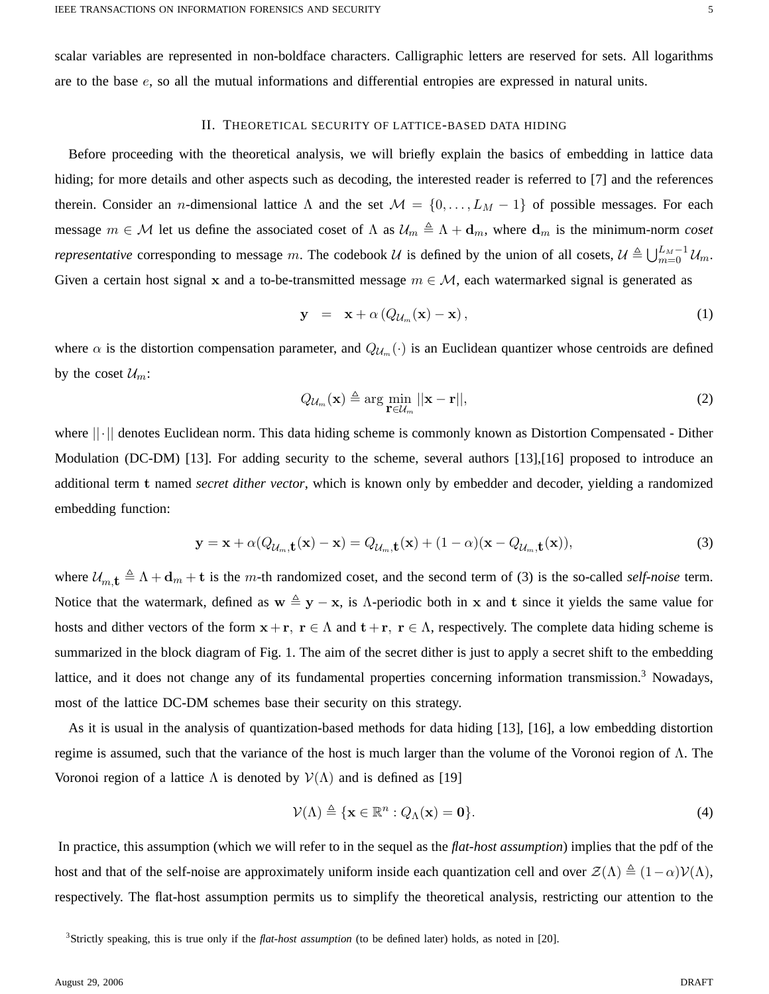scalar variables are represented in non-boldface characters. Calligraphic letters are reserved for sets. All logarithms are to the base e, so all the mutual informations and differential entropies are expressed in natural units.

## II. THEORETICAL SECURITY OF LATTICE-BASED DATA HIDING

Before proceeding with the theoretical analysis, we will briefly explain the basics of embedding in lattice data hiding; for more details and other aspects such as decoding, the interested reader is referred to [7] and the references therein. Consider an *n*-dimensional lattice  $\Lambda$  and the set  $\mathcal{M} = \{0, \ldots, L_M - 1\}$  of possible messages. For each message  $m \in \mathcal{M}$  let us define the associated coset of  $\Lambda$  as  $\mathcal{U}_m \triangleq \Lambda + \mathbf{d}_m$ , where  $\mathbf{d}_m$  is the minimum-norm *coset representative* corresponding to message m. The codebook U is defined by the union of all cosets,  $\mathcal{U} \triangleq \bigcup_{m=0}^{L_M-1} \mathcal{U}_m$ . Given a certain host signal x and a to-be-transmitted message  $m \in \mathcal{M}$ , each watermarked signal is generated as

$$
\mathbf{y} = \mathbf{x} + \alpha \left( Q_{\mathcal{U}_m}(\mathbf{x}) - \mathbf{x} \right), \tag{1}
$$

where  $\alpha$  is the distortion compensation parameter, and  $Q_{\mathcal{U}_m}(\cdot)$  is an Euclidean quantizer whose centroids are defined by the coset  $\mathcal{U}_m$ :

$$
Q_{\mathcal{U}_m}(\mathbf{x}) \triangleq \arg\min_{\mathbf{r} \in \mathcal{U}_m} ||\mathbf{x} - \mathbf{r}||, \tag{2}
$$

where ||·|| denotes Euclidean norm. This data hiding scheme is commonly known as Distortion Compensated - Dither Modulation (DC-DM) [13]. For adding security to the scheme, several authors [13],[16] proposed to introduce an additional term t named *secret dither vector*, which is known only by embedder and decoder, yielding a randomized embedding function:

$$
\mathbf{y} = \mathbf{x} + \alpha (Q_{\mathcal{U}_m, \mathbf{t}}(\mathbf{x}) - \mathbf{x}) = Q_{\mathcal{U}_m, \mathbf{t}}(\mathbf{x}) + (1 - \alpha)(\mathbf{x} - Q_{\mathcal{U}_m, \mathbf{t}}(\mathbf{x})),
$$
(3)

where  $U_{m,t} \triangleq \Lambda + d_m + t$  is the m-th randomized coset, and the second term of (3) is the so-called *self-noise* term. Notice that the watermark, defined as  $w \triangleq y - x$ , is Λ-periodic both in x and t since it yields the same value for hosts and dither vectors of the form  $x+r$ ,  $r \in \Lambda$  and  $t+r$ ,  $r \in \Lambda$ , respectively. The complete data hiding scheme is summarized in the block diagram of Fig. 1. The aim of the secret dither is just to apply a secret shift to the embedding lattice, and it does not change any of its fundamental properties concerning information transmission.<sup>3</sup> Nowadays, most of the lattice DC-DM schemes base their security on this strategy.

As it is usual in the analysis of quantization-based methods for data hiding [13], [16], a low embedding distortion regime is assumed, such that the variance of the host is much larger than the volume of the Voronoi region of Λ. The Voronoi region of a lattice  $\Lambda$  is denoted by  $\mathcal{V}(\Lambda)$  and is defined as [19]

$$
\mathcal{V}(\Lambda) \triangleq \{ \mathbf{x} \in \mathbb{R}^n : Q_{\Lambda}(\mathbf{x}) = \mathbf{0} \}.
$$
 (4)

In practice, this assumption (which we will refer to in the sequel as the *flat-host assumption*) implies that the pdf of the host and that of the self-noise are approximately uniform inside each quantization cell and over  $\mathcal{Z}(\Lambda) \triangleq (1-\alpha)\mathcal{V}(\Lambda)$ , respectively. The flat-host assumption permits us to simplify the theoretical analysis, restricting our attention to the

<sup>3</sup> Strictly speaking, this is true only if the *flat-host assumption* (to be defined later) holds, as noted in [20].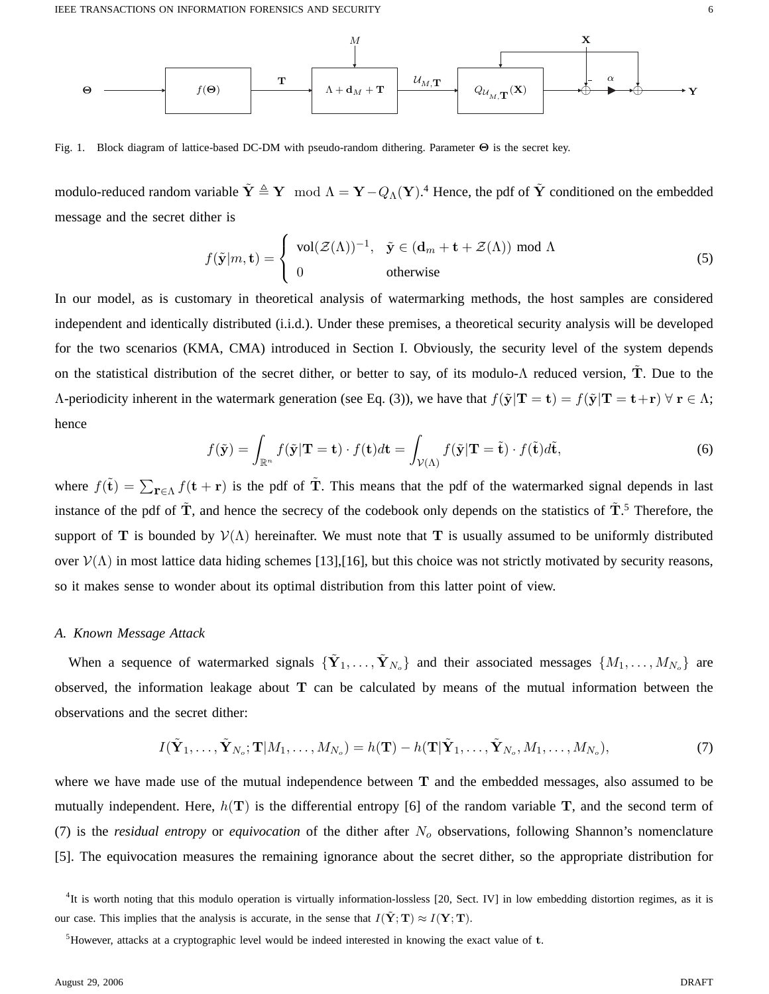

Fig. 1. Block diagram of lattice-based DC-DM with pseudo-random dithering. Parameter Θ is the secret key.

modulo-reduced random variable  $\tilde{Y} \triangleq Y \mod \Lambda = Y - Q_{\Lambda}(Y)$ .<sup>4</sup> Hence, the pdf of  $\tilde{Y}$  conditioned on the embedded message and the secret dither is

$$
f(\tilde{\mathbf{y}}|m,\mathbf{t}) = \begin{cases} \text{vol}(\mathcal{Z}(\Lambda))^{-1}, & \tilde{\mathbf{y}} \in (\mathbf{d}_m + \mathbf{t} + \mathcal{Z}(\Lambda)) \text{ mod } \Lambda \\ 0 & \text{otherwise} \end{cases}
$$
(5)

In our model, as is customary in theoretical analysis of watermarking methods, the host samples are considered independent and identically distributed (i.i.d.). Under these premises, a theoretical security analysis will be developed for the two scenarios (KMA, CMA) introduced in Section I. Obviously, the security level of the system depends on the statistical distribution of the secret dither, or better to say, of its modulo- $\Lambda$  reduced version, T. Due to the Λ-periodicity inherent in the watermark generation (see Eq. (3)), we have that  $f(\tilde{y} | T = t) = f(\tilde{y} | T = t + r) \forall r \in \Lambda$ ; hence

$$
f(\tilde{\mathbf{y}}) = \int_{\mathbb{R}^n} f(\tilde{\mathbf{y}} | \mathbf{T} = \mathbf{t}) \cdot f(\mathbf{t}) d\mathbf{t} = \int_{\mathcal{V}(\Lambda)} f(\tilde{\mathbf{y}} | \mathbf{T} = \tilde{\mathbf{t}}) \cdot f(\tilde{\mathbf{t}}) d\tilde{\mathbf{t}},
$$
(6)

where  $f(\tilde{\mathbf{t}}) = \sum_{\mathbf{r} \in \Lambda} f(\mathbf{t} + \mathbf{r})$  is the pdf of  $\tilde{\mathbf{T}}$ . This means that the pdf of the watermarked signal depends in last instance of the pdf of  $\tilde{T}$ , and hence the secrecy of the codebook only depends on the statistics of  $\tilde{T}$ .<sup>5</sup> Therefore, the support of T is bounded by  $\mathcal{V}(\Lambda)$  hereinafter. We must note that T is usually assumed to be uniformly distributed over  $V(\Lambda)$  in most lattice data hiding schemes [13],[16], but this choice was not strictly motivated by security reasons, so it makes sense to wonder about its optimal distribution from this latter point of view.

#### *A. Known Message Attack*

When a sequence of watermarked signals  $\{\tilde{Y}_1,\ldots,\tilde{Y}_{N_o}\}$  and their associated messages  $\{M_1,\ldots,M_{N_o}\}\$ are observed, the information leakage about T can be calculated by means of the mutual information between the observations and the secret dither:

$$
I(\tilde{\mathbf{Y}}_1,\ldots,\tilde{\mathbf{Y}}_{N_o};\mathbf{T}|M_1,\ldots,M_{N_o})=h(\mathbf{T})-h(\mathbf{T}|\tilde{\mathbf{Y}}_1,\ldots,\tilde{\mathbf{Y}}_{N_o},M_1,\ldots,M_{N_o}),
$$
\n(7)

where we have made use of the mutual independence between **T** and the embedded messages, also assumed to be mutually independent. Here,  $h(T)$  is the differential entropy [6] of the random variable T, and the second term of (7) is the *residual entropy* or *equivocation* of the dither after  $N<sub>o</sub>$  observations, following Shannon's nomenclature [5]. The equivocation measures the remaining ignorance about the secret dither, so the appropriate distribution for

<sup>&</sup>lt;sup>4</sup>It is worth noting that this modulo operation is virtually information-lossless [20, Sect. IV] in low embedding distortion regimes, as it is our case. This implies that the analysis is accurate, in the sense that  $I(\tilde{Y};T) \approx I(Y;T)$ .

 $^5$ However, attacks at a cryptographic level would be indeed interested in knowing the exact value of t.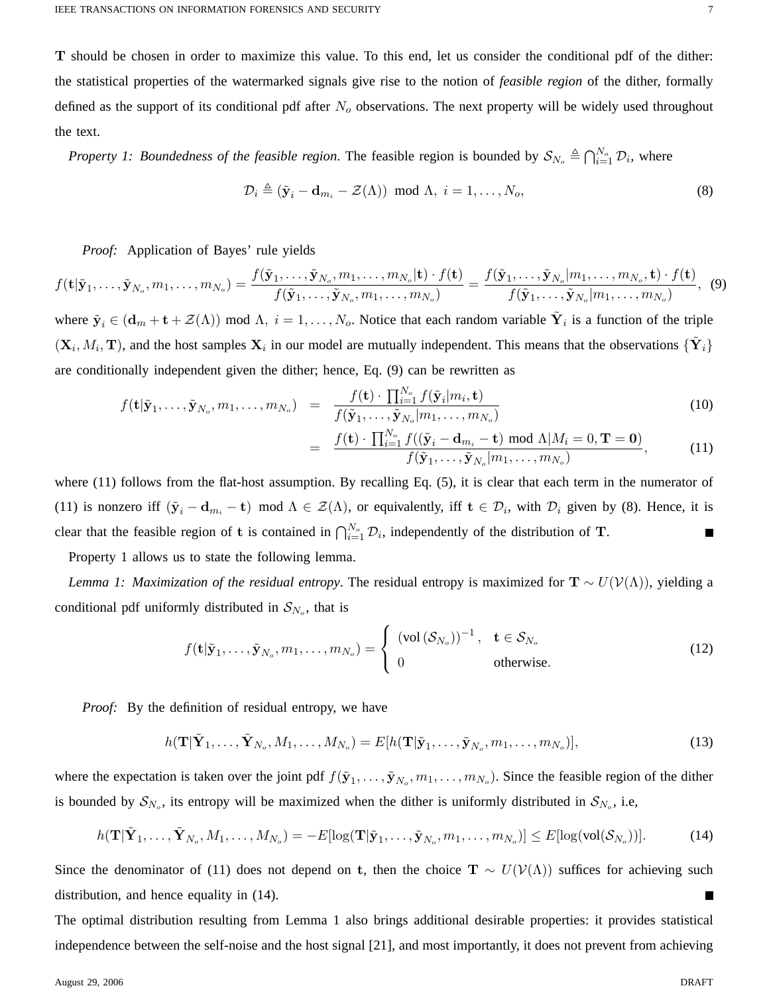T should be chosen in order to maximize this value. To this end, let us consider the conditional pdf of the dither: the statistical properties of the watermarked signals give rise to the notion of *feasible region* of the dither, formally defined as the support of its conditional pdf after  $N<sub>o</sub>$  observations. The next property will be widely used throughout the text.

*Property 1: Boundedness of the feasible region.* The feasible region is bounded by  $S_{N_o} \triangleq \bigcap_{i=1}^{N_o} D_i$ , where

$$
\mathcal{D}_i \triangleq (\tilde{\mathbf{y}}_i - \mathbf{d}_{m_i} - \mathcal{Z}(\Lambda)) \mod \Lambda, \ i = 1, \dots, N_o,
$$
\n(8)

*Proof:* Application of Bayes' rule yields

$$
f(\mathbf{t}|\tilde{\mathbf{y}}_1,\ldots,\tilde{\mathbf{y}}_{N_o},m_1,\ldots,m_{N_o})=\frac{f(\tilde{\mathbf{y}}_1,\ldots,\tilde{\mathbf{y}}_{N_o},m_1,\ldots,m_{N_o}|\mathbf{t})\cdot f(\mathbf{t})}{f(\tilde{\mathbf{y}}_1,\ldots,\tilde{\mathbf{y}}_{N_o},m_1,\ldots,m_{N_o})}=\frac{f(\tilde{\mathbf{y}}_1,\ldots,\tilde{\mathbf{y}}_{N_o}|m_1,\ldots,m_{N_o},\mathbf{t})\cdot f(\mathbf{t})}{f(\tilde{\mathbf{y}}_1,\ldots,\tilde{\mathbf{y}}_{N_o}|m_1,\ldots,m_{N_o})},\tag{9}
$$

where  $\tilde{\mathbf{y}}_i \in (\mathbf{d}_m + \mathbf{t} + \mathcal{Z}(\Lambda))$  mod  $\Lambda$ ,  $i = 1, \ldots, N_o$ . Notice that each random variable  $\tilde{\mathbf{Y}}_i$  is a function of the triple  $(X_i, M_i, T)$ , and the host samples  $X_i$  in our model are mutually independent. This means that the observations  $\{Y_i\}$ are conditionally independent given the dither; hence, Eq. (9) can be rewritten as

$$
f(\mathbf{t}|\tilde{\mathbf{y}}_1,\ldots,\tilde{\mathbf{y}}_{N_o},m_1,\ldots,m_{N_o}) = \frac{f(\mathbf{t}) \cdot \prod_{i=1}^{N_o} f(\tilde{\mathbf{y}}_i|m_i, \mathbf{t})}{f(\tilde{\mathbf{y}}_1,\ldots,\tilde{\mathbf{y}}_{N_o}|m_1,\ldots,m_{N_o})}
$$
(10)  

$$
= \frac{f(\mathbf{t}) \cdot \prod_{i=1}^{N_o} f((\tilde{\mathbf{y}}_i - \mathbf{d}_{m_i} - \mathbf{t}) \bmod \Lambda|M_i = 0, \mathbf{T} = \mathbf{0})}{f(\tilde{\mathbf{x}} - \tilde{\mathbf{x}} - \tilde{\mathbf{x}})}
$$
(11)

$$
\frac{J(\mathbf{t}) \cdot \prod_{i=1} J((\mathbf{y}_i - \mathbf{d}_{m_i} - \mathbf{t}) \bmod \Lambda | M_i = 0, \mathbf{T} = \mathbf{0})}{f(\tilde{\mathbf{y}}_1, \dots, \tilde{\mathbf{y}}_{N_o} | m_1, \dots, m_{N_o})},
$$
(11)

where (11) follows from the flat-host assumption. By recalling Eq. (5), it is clear that each term in the numerator of (11) is nonzero iff  $(\tilde{\mathbf{y}}_i - \mathbf{d}_{m_i} - \mathbf{t}) \mod \Lambda \in \mathcal{Z}(\Lambda)$ , or equivalently, iff  $\mathbf{t} \in \mathcal{D}_i$ , with  $\mathcal{D}_i$  given by (8). Hence, it is clear that the feasible region of **t** is contained in  $\bigcap_{i=1}^{N_o} \mathcal{D}_i$ , independently of the distribution of **T**.  $\blacksquare$ 

Property 1 allows us to state the following lemma.

*Lemma 1: Maximization of the residual entropy*. The residual entropy is maximized for  $T \sim U(V(\Lambda))$ , yielding a conditional pdf uniformly distributed in  $S_{N_o}$ , that is

$$
f(\mathbf{t}|\tilde{\mathbf{y}}_1,\ldots,\tilde{\mathbf{y}}_{N_o},m_1,\ldots,m_{N_o})=\begin{cases} (\text{vol}\,(\mathcal{S}_{N_o}))^{-1}, & \mathbf{t}\in\mathcal{S}_{N_o} \\ 0 & \text{otherwise.} \end{cases}
$$
(12)

*Proof:* By the definition of residual entropy, we have

$$
h(\mathbf{T}|\tilde{\mathbf{Y}}_1,\ldots,\tilde{\mathbf{Y}}_{N_o},M_1,\ldots,M_{N_o})=E[h(\mathbf{T}|\tilde{\mathbf{y}}_1,\ldots,\tilde{\mathbf{y}}_{N_o},m_1,\ldots,m_{N_o})],
$$
\n(13)

where the expectation is taken over the joint pdf  $f(\tilde{y}_1,\ldots,\tilde{y}_{N_o},m_1,\ldots,m_{N_o})$ . Since the feasible region of the dither is bounded by  $S_{N_o}$ , its entropy will be maximized when the dither is uniformly distributed in  $S_{N_o}$ , i.e,

$$
h(\mathbf{T}|\tilde{\mathbf{Y}}_1,\ldots,\tilde{\mathbf{Y}}_{N_o},M_1,\ldots,M_{N_o})=-E[\log(\mathbf{T}|\tilde{\mathbf{y}}_1,\ldots,\tilde{\mathbf{y}}_{N_o},m_1,\ldots,m_{N_o})]\leq E[\log(\text{vol}(\mathcal{S}_{N_o}))].\tag{14}
$$

Since the denominator of (11) does not depend on t, then the choice  $T \sim U(V(\Lambda))$  suffices for achieving such distribution, and hence equality in (14).  $\blacksquare$ 

The optimal distribution resulting from Lemma 1 also brings additional desirable properties: it provides statistical independence between the self-noise and the host signal [21], and most importantly, it does not prevent from achieving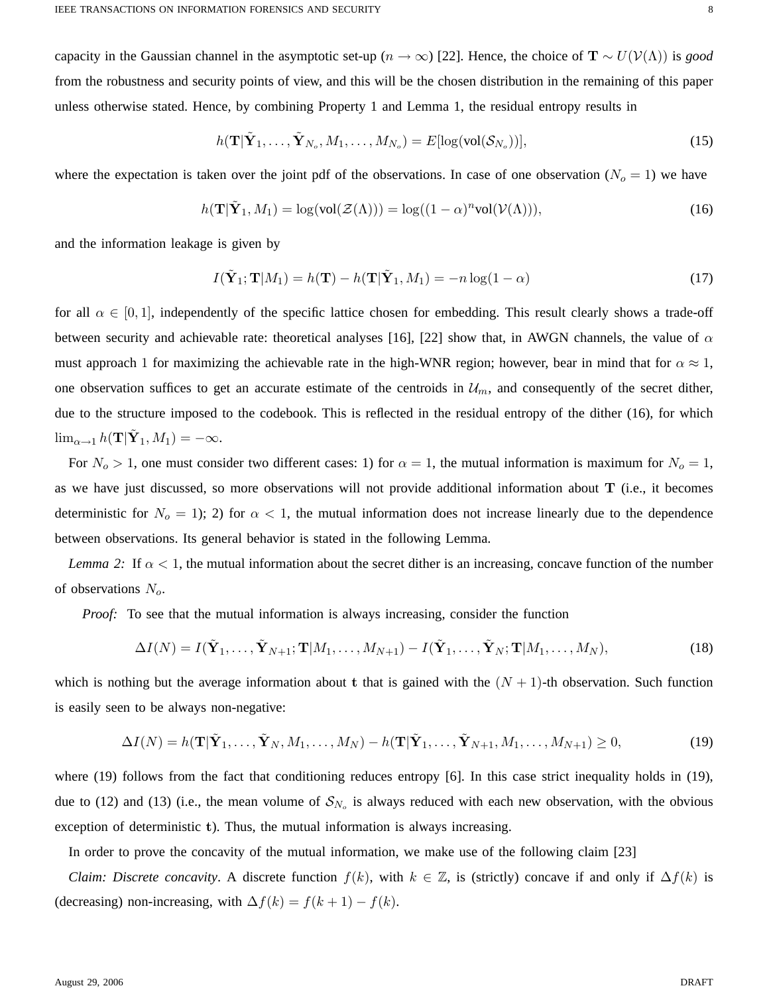capacity in the Gaussian channel in the asymptotic set-up (n → ∞) [22]. Hence, the choice of T ∼ U(V(Λ)) is *good* from the robustness and security points of view, and this will be the chosen distribution in the remaining of this paper unless otherwise stated. Hence, by combining Property 1 and Lemma 1, the residual entropy results in

$$
h(\mathbf{T}|\tilde{\mathbf{Y}}_1,\ldots,\tilde{\mathbf{Y}}_{N_o},M_1,\ldots,M_{N_o})=E[\log(\text{vol}(\mathcal{S}_{N_o}))],\tag{15}
$$

where the expectation is taken over the joint pdf of the observations. In case of one observation ( $N<sub>o</sub> = 1$ ) we have

$$
h(\mathbf{T}|\tilde{\mathbf{Y}}_1, M_1) = \log(\text{vol}(\mathcal{Z}(\Lambda))) = \log((1-\alpha)^n \text{vol}(\mathcal{V}(\Lambda))),\tag{16}
$$

and the information leakage is given by

$$
I(\tilde{\mathbf{Y}}_1; \mathbf{T}|M_1) = h(\mathbf{T}) - h(\mathbf{T}|\tilde{\mathbf{Y}}_1, M_1) = -n \log(1 - \alpha)
$$
\n(17)

for all  $\alpha \in [0, 1]$ , independently of the specific lattice chosen for embedding. This result clearly shows a trade-off between security and achievable rate: theoretical analyses [16], [22] show that, in AWGN channels, the value of  $\alpha$ must approach 1 for maximizing the achievable rate in the high-WNR region; however, bear in mind that for  $\alpha \approx 1$ , one observation suffices to get an accurate estimate of the centroids in  $\mathcal{U}_m$ , and consequently of the secret dither, due to the structure imposed to the codebook. This is reflected in the residual entropy of the dither (16), for which  $\lim_{\alpha\to 1} h(\mathbf{T}|\tilde{\mathbf{Y}}_1, M_1) = -\infty.$ 

For  $N_0 > 1$ , one must consider two different cases: 1) for  $\alpha = 1$ , the mutual information is maximum for  $N_0 = 1$ , as we have just discussed, so more observations will not provide additional information about T (i.e., it becomes deterministic for  $N_o = 1$ ); 2) for  $\alpha < 1$ , the mutual information does not increase linearly due to the dependence between observations. Its general behavior is stated in the following Lemma.

*Lemma 2:* If  $\alpha$  < 1, the mutual information about the secret dither is an increasing, concave function of the number of observations  $N_o$ .

*Proof:* To see that the mutual information is always increasing, consider the function

$$
\Delta I(N) = I(\tilde{\mathbf{Y}}_1, \dots, \tilde{\mathbf{Y}}_{N+1}; \mathbf{T}|M_1, \dots, M_{N+1}) - I(\tilde{\mathbf{Y}}_1, \dots, \tilde{\mathbf{Y}}_N; \mathbf{T}|M_1, \dots, M_N),
$$
\n(18)

which is nothing but the average information about t that is gained with the  $(N + 1)$ -th observation. Such function is easily seen to be always non-negative:

$$
\Delta I(N) = h(\mathbf{T}|\tilde{\mathbf{Y}}_1,\dots,\tilde{\mathbf{Y}}_N,M_1,\dots,M_N) - h(\mathbf{T}|\tilde{\mathbf{Y}}_1,\dots,\tilde{\mathbf{Y}}_{N+1},M_1,\dots,M_{N+1}) \ge 0,
$$
\n(19)

where (19) follows from the fact that conditioning reduces entropy [6]. In this case strict inequality holds in (19), due to (12) and (13) (i.e., the mean volume of  $S_{N_o}$  is always reduced with each new observation, with the obvious exception of deterministic t). Thus, the mutual information is always increasing.

In order to prove the concavity of the mutual information, we make use of the following claim [23]

*Claim: Discrete concavity.* A discrete function  $f(k)$ , with  $k \in \mathbb{Z}$ , is (strictly) concave if and only if  $\Delta f(k)$  is (decreasing) non-increasing, with  $\Delta f(k) = f(k+1) - f(k)$ .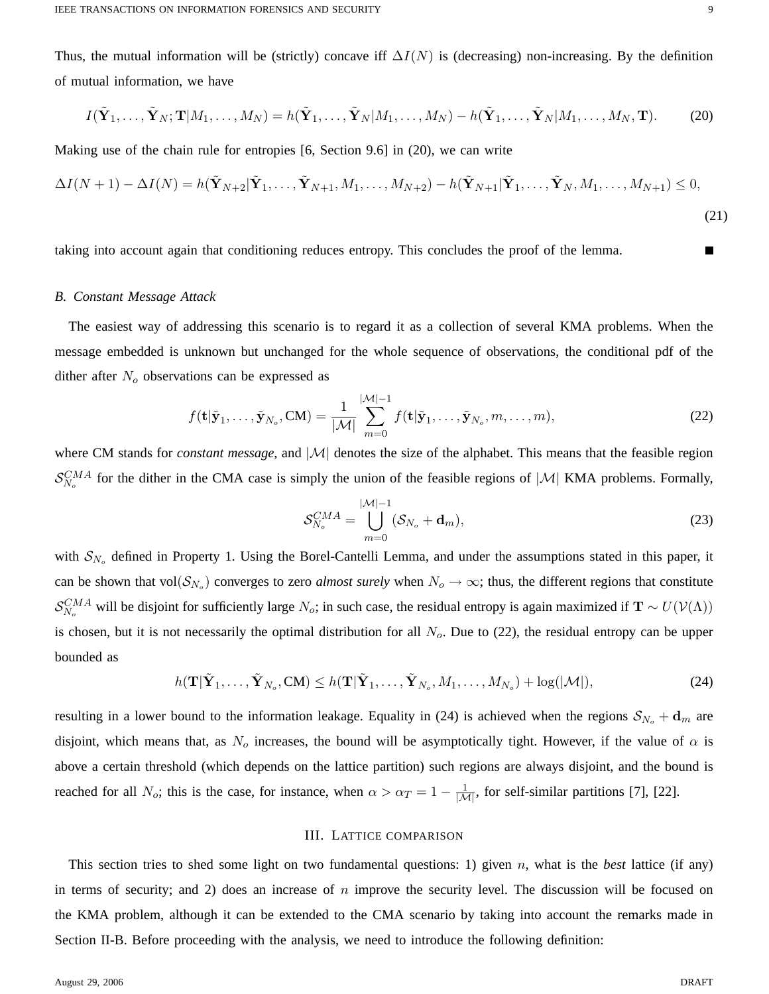Thus, the mutual information will be (strictly) concave iff  $\Delta I(N)$  is (decreasing) non-increasing. By the definition of mutual information, we have

$$
I(\tilde{\mathbf{Y}}_1,\ldots,\tilde{\mathbf{Y}}_N;\mathbf{T}|M_1,\ldots,M_N) = h(\tilde{\mathbf{Y}}_1,\ldots,\tilde{\mathbf{Y}}_N|M_1,\ldots,M_N) - h(\tilde{\mathbf{Y}}_1,\ldots,\tilde{\mathbf{Y}}_N|M_1,\ldots,M_N,\mathbf{T}).
$$
 (20)

Making use of the chain rule for entropies [6, Section 9.6] in (20), we can write

$$
\Delta I(N+1) - \Delta I(N) = h(\tilde{\mathbf{Y}}_{N+2}|\tilde{\mathbf{Y}}_1,\ldots,\tilde{\mathbf{Y}}_{N+1},M_1,\ldots,M_{N+2}) - h(\tilde{\mathbf{Y}}_{N+1}|\tilde{\mathbf{Y}}_1,\ldots,\tilde{\mathbf{Y}}_N,M_1,\ldots,M_{N+1}) \le 0,
$$
\n(21)

taking into account again that conditioning reduces entropy. This concludes the proof of the lemma.

### *B. Constant Message Attack*

The easiest way of addressing this scenario is to regard it as a collection of several KMA problems. When the message embedded is unknown but unchanged for the whole sequence of observations, the conditional pdf of the dither after  $N<sub>o</sub>$  observations can be expressed as

$$
f(\mathbf{t}|\tilde{\mathbf{y}}_1,\ldots,\tilde{\mathbf{y}}_{N_o},\mathbf{CM}) = \frac{1}{|\mathcal{M}|} \sum_{m=0}^{|\mathcal{M}|-1} f(\mathbf{t}|\tilde{\mathbf{y}}_1,\ldots,\tilde{\mathbf{y}}_{N_o},m,\ldots,m),
$$
\n(22)

where CM stands for *constant message*, and  $|M|$  denotes the size of the alphabet. This means that the feasible region  $S_{N_o}^{CMA}$  for the dither in the CMA case is simply the union of the feasible regions of  $|\mathcal{M}|$  KMA problems. Formally,

$$
\mathcal{S}_{N_o}^{CMA} = \bigcup_{m=0}^{|\mathcal{M}|-1} (\mathcal{S}_{N_o} + \mathbf{d}_m), \tag{23}
$$

with  $S_{N_o}$  defined in Property 1. Using the Borel-Cantelli Lemma, and under the assumptions stated in this paper, it can be shown that vol $(\mathcal{S}_{N_o})$  converges to zero *almost surely* when  $N_o \to \infty$ ; thus, the different regions that constitute  $S_{N_o}^{CMA}$  will be disjoint for sufficiently large  $N_o$ ; in such case, the residual entropy is again maximized if  $T \sim U(V(\Lambda))$ is chosen, but it is not necessarily the optimal distribution for all  $N<sub>o</sub>$ . Due to (22), the residual entropy can be upper bounded as

$$
h(\mathbf{T}|\tilde{\mathbf{Y}}_1,\ldots,\tilde{\mathbf{Y}}_{N_o},\mathbf{CM}) \le h(\mathbf{T}|\tilde{\mathbf{Y}}_1,\ldots,\tilde{\mathbf{Y}}_{N_o},M_1,\ldots,M_{N_o}) + \log(|\mathcal{M}|),\tag{24}
$$

resulting in a lower bound to the information leakage. Equality in (24) is achieved when the regions  $S_{N_o} + \mathbf{d}_m$  are disjoint, which means that, as  $N_o$  increases, the bound will be asymptotically tight. However, if the value of  $\alpha$  is above a certain threshold (which depends on the lattice partition) such regions are always disjoint, and the bound is reached for all  $N_o$ ; this is the case, for instance, when  $\alpha > \alpha_T = 1 - \frac{1}{|M|}$ , for self-similar partitions [7], [22].

# III. LATTICE COMPARISON

This section tries to shed some light on two fundamental questions: 1) given  $n$ , what is the *best* lattice (if any) in terms of security; and 2) does an increase of  $n$  improve the security level. The discussion will be focused on the KMA problem, although it can be extended to the CMA scenario by taking into account the remarks made in Section II-B. Before proceeding with the analysis, we need to introduce the following definition: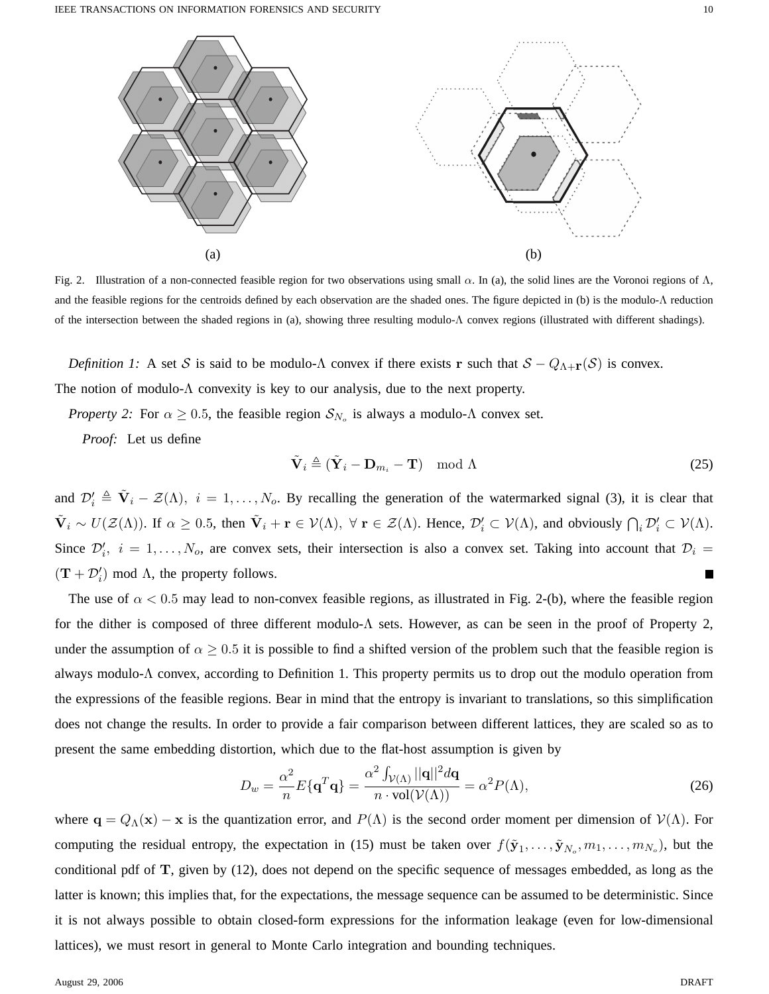

Fig. 2. Illustration of a non-connected feasible region for two observations using small  $\alpha$ . In (a), the solid lines are the Voronoi regions of Λ, and the feasible regions for the centroids defined by each observation are the shaded ones. The figure depicted in (b) is the modulo-Λ reduction of the intersection between the shaded regions in (a), showing three resulting modulo-Λ convex regions (illustrated with different shadings).

*Definition 1:* A set S is said to be modulo- $\Lambda$  convex if there exists r such that  $S - Q_{\Lambda + \Gamma}(S)$  is convex.

The notion of modulo- $\Lambda$  convexity is key to our analysis, due to the next property.

*Property 2:* For  $\alpha \geq 0.5$ , the feasible region  $S_{N_o}$  is always a modulo- $\Lambda$  convex set.

*Proof:* Let us define

$$
\tilde{\mathbf{V}}_i \triangleq (\tilde{\mathbf{Y}}_i - \mathbf{D}_{m_i} - \mathbf{T}) \mod \Lambda \tag{25}
$$

and  $\mathcal{D}'_i \triangleq \tilde{\mathbf{V}}_i - \mathcal{Z}(\Lambda), i = 1, \ldots, N_o$ . By recalling the generation of the watermarked signal (3), it is clear that  $\tilde{\mathbf{V}}_i \sim U(\mathcal{Z}(\Lambda))$ . If  $\alpha \geq 0.5$ , then  $\tilde{\mathbf{V}}_i + \mathbf{r} \in \mathcal{V}(\Lambda)$ ,  $\forall \mathbf{r} \in \mathcal{Z}(\Lambda)$ . Hence,  $\mathcal{D}'_i \subset \mathcal{V}(\Lambda)$ , and obviously  $\bigcap_i \mathcal{D}'_i \subset \mathcal{V}(\Lambda)$ . Since  $\mathcal{D}'_i$ ,  $i = 1, \ldots, N_o$ , are convex sets, their intersection is also a convex set. Taking into account that  $\mathcal{D}_i$  $(\mathbf{T} + \mathcal{D}'_i)$  mod  $\Lambda$ , the property follows.

The use of  $\alpha$  < 0.5 may lead to non-convex feasible regions, as illustrated in Fig. 2-(b), where the feasible region for the dither is composed of three different modulo-Λ sets. However, as can be seen in the proof of Property 2, under the assumption of  $\alpha \geq 0.5$  it is possible to find a shifted version of the problem such that the feasible region is always modulo-Λ convex, according to Definition 1. This property permits us to drop out the modulo operation from the expressions of the feasible regions. Bear in mind that the entropy is invariant to translations, so this simplification does not change the results. In order to provide a fair comparison between different lattices, they are scaled so as to present the same embedding distortion, which due to the flat-host assumption is given by

$$
D_w = \frac{\alpha^2}{n} E\{\mathbf{q}^T \mathbf{q}\} = \frac{\alpha^2 \int_{\mathcal{V}(\Lambda)} ||\mathbf{q}||^2 d\mathbf{q}}{n \cdot \text{vol}(\mathcal{V}(\Lambda))} = \alpha^2 P(\Lambda),\tag{26}
$$

where  $\mathbf{q} = Q_{\Lambda}(\mathbf{x}) - \mathbf{x}$  is the quantization error, and  $P(\Lambda)$  is the second order moment per dimension of  $\mathcal{V}(\Lambda)$ . For computing the residual entropy, the expectation in (15) must be taken over  $f(\tilde{y}_1,\ldots,\tilde{y}_{N_o},m_1,\ldots,m_{N_o})$ , but the conditional pdf of T, given by (12), does not depend on the specific sequence of messages embedded, as long as the latter is known; this implies that, for the expectations, the message sequence can be assumed to be deterministic. Since it is not always possible to obtain closed-form expressions for the information leakage (even for low-dimensional lattices), we must resort in general to Monte Carlo integration and bounding techniques.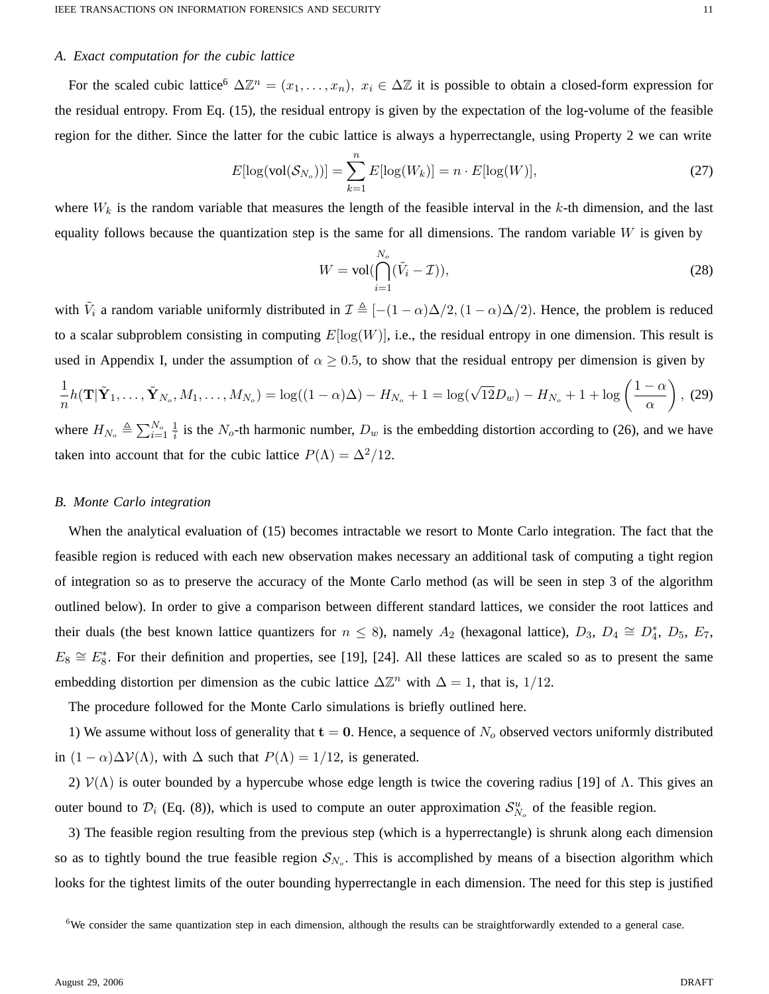## *A. Exact computation for the cubic lattice*

For the scaled cubic lattice<sup>6</sup>  $\Delta \mathbb{Z}^n = (x_1, \ldots, x_n), x_i \in \Delta \mathbb{Z}$  it is possible to obtain a closed-form expression for the residual entropy. From Eq. (15), the residual entropy is given by the expectation of the log-volume of the feasible region for the dither. Since the latter for the cubic lattice is always a hyperrectangle, using Property 2 we can write

$$
E[\log(\text{vol}(\mathcal{S}_{N_o}))] = \sum_{k=1}^{n} E[\log(W_k)] = n \cdot E[\log(W)],
$$
\n(27)

where  $W_k$  is the random variable that measures the length of the feasible interval in the  $k$ -th dimension, and the last equality follows because the quantization step is the same for all dimensions. The random variable  $W$  is given by

$$
W = \text{vol}(\bigcap_{i=1}^{N_o} (\tilde{V}_i - \mathcal{I})),\tag{28}
$$

with  $\tilde{V}_i$  a random variable uniformly distributed in  $\mathcal{I} \triangleq [-(1-\alpha)\Delta/2,(1-\alpha)\Delta/2)$ . Hence, the problem is reduced to a scalar subproblem consisting in computing  $E[log(W)]$ , i.e., the residual entropy in one dimension. This result is used in Appendix I, under the assumption of  $\alpha \geq 0.5$ , to show that the residual entropy per dimension is given by

$$
\frac{1}{n}h(\mathbf{T}|\tilde{\mathbf{Y}}_1,\ldots,\tilde{\mathbf{Y}}_{N_o},M_1,\ldots,M_{N_o})=\log((1-\alpha)\Delta)-H_{N_o}+1=\log(\sqrt{12}D_w)-H_{N_o}+1+\log\left(\frac{1-\alpha}{\alpha}\right),
$$
 (29)

where  $H_{N_o} \triangleq \sum_{i=1}^{N_o} \frac{1}{i}$  $\frac{1}{i}$  is the  $N_o$ -th harmonic number,  $D_w$  is the embedding distortion according to (26), and we have taken into account that for the cubic lattice  $P(\Lambda) = \Delta^2/12$ .

#### *B. Monte Carlo integration*

When the analytical evaluation of (15) becomes intractable we resort to Monte Carlo integration. The fact that the feasible region is reduced with each new observation makes necessary an additional task of computing a tight region of integration so as to preserve the accuracy of the Monte Carlo method (as will be seen in step 3 of the algorithm outlined below). In order to give a comparison between different standard lattices, we consider the root lattices and their duals (the best known lattice quantizers for  $n \leq 8$ ), namely  $A_2$  (hexagonal lattice),  $D_3$ ,  $D_4 \cong D_4^*$ ,  $D_5$ ,  $E_7$ ,  $E_8 \cong E_8^*$ . For their definition and properties, see [19], [24]. All these lattices are scaled so as to present the same embedding distortion per dimension as the cubic lattice  $\Delta \mathbb{Z}^n$  with  $\Delta = 1$ , that is, 1/12.

The procedure followed for the Monte Carlo simulations is briefly outlined here.

1) We assume without loss of generality that  $t = 0$ . Hence, a sequence of  $N<sub>o</sub>$  observed vectors uniformly distributed in  $(1 - \alpha)\Delta V(\Lambda)$ , with  $\Delta$  such that  $P(\Lambda) = 1/12$ , is generated.

2)  $\mathcal{V}(\Lambda)$  is outer bounded by a hypercube whose edge length is twice the covering radius [19] of  $\Lambda$ . This gives an outer bound to  $\mathcal{D}_i$  (Eq. (8)), which is used to compute an outer approximation  $\mathcal{S}_{N_o}^u$  of the feasible region.

3) The feasible region resulting from the previous step (which is a hyperrectangle) is shrunk along each dimension so as to tightly bound the true feasible region  $S_{N_o}$ . This is accomplished by means of a bisection algorithm which looks for the tightest limits of the outer bounding hyperrectangle in each dimension. The need for this step is justified

<sup>&</sup>lt;sup>6</sup>We consider the same quantization step in each dimension, although the results can be straightforwardly extended to a general case.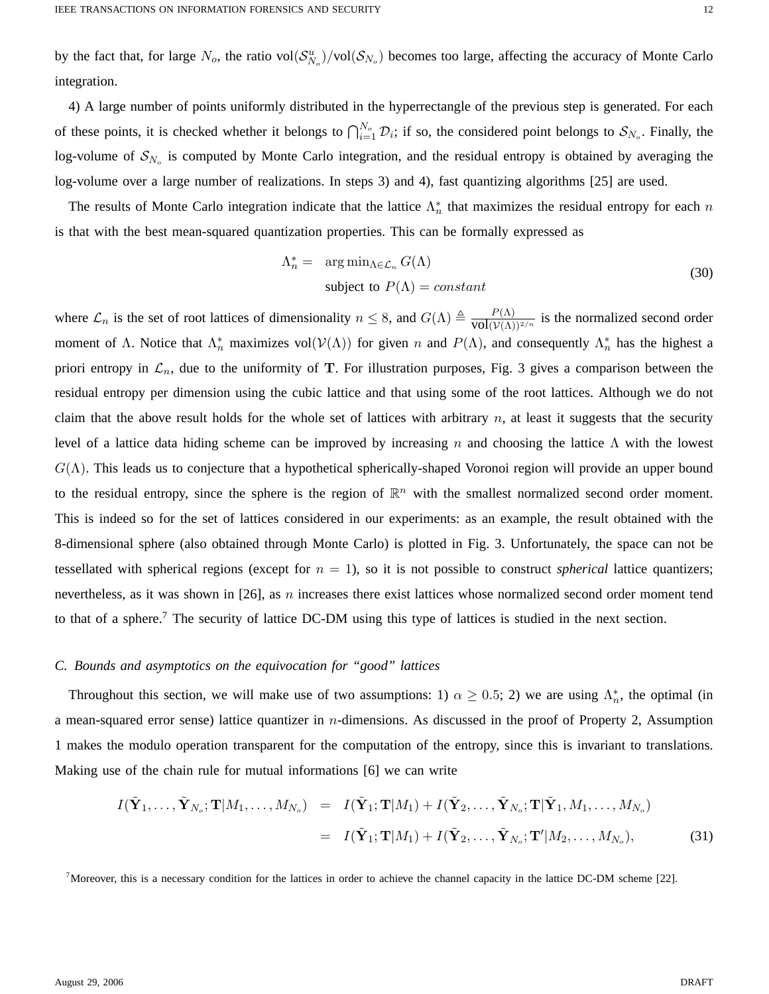by the fact that, for large  $N_o$ , the ratio vol $(\mathcal{S}_{N_o}^u)/vol(\mathcal{S}_{N_o})$  becomes too large, affecting the accuracy of Monte Carlo integration.

4) A large number of points uniformly distributed in the hyperrectangle of the previous step is generated. For each of these points, it is checked whether it belongs to  $\bigcap_{i=1}^{N_o} \mathcal{D}_i$ ; if so, the considered point belongs to  $S_{N_o}$ . Finally, the log-volume of  $S_{N_o}$  is computed by Monte Carlo integration, and the residual entropy is obtained by averaging the log-volume over a large number of realizations. In steps 3) and 4), fast quantizing algorithms [25] are used.

The results of Monte Carlo integration indicate that the lattice  $\Lambda_n^*$  that maximizes the residual entropy for each n is that with the best mean-squared quantization properties. This can be formally expressed as

$$
\Lambda_n^* = \arg \min_{\Lambda \in \mathcal{L}_n} G(\Lambda)
$$
  
subject to  $P(\Lambda) = constant$  (30)

where  $\mathcal{L}_n$  is the set of root lattices of dimensionality  $n \leq 8$ , and  $G(\Lambda) \triangleq \frac{P(\Lambda)}{\text{vol}(\mathcal{V}(\Lambda))^{2/n}}$  is the normalized second order moment of  $\Lambda$ . Notice that  $\Lambda_n^*$  maximizes vol $(\mathcal{V}(\Lambda))$  for given n and  $P(\Lambda)$ , and consequently  $\Lambda_n^*$  has the highest a priori entropy in  $\mathcal{L}_n$ , due to the uniformity of T. For illustration purposes, Fig. 3 gives a comparison between the residual entropy per dimension using the cubic lattice and that using some of the root lattices. Although we do not claim that the above result holds for the whole set of lattices with arbitrary  $n$ , at least it suggests that the security level of a lattice data hiding scheme can be improved by increasing n and choosing the lattice Λ with the lowest  $G(\Lambda)$ . This leads us to conjecture that a hypothetical spherically-shaped Voronoi region will provide an upper bound to the residual entropy, since the sphere is the region of  $\mathbb{R}^n$  with the smallest normalized second order moment. This is indeed so for the set of lattices considered in our experiments: as an example, the result obtained with the 8-dimensional sphere (also obtained through Monte Carlo) is plotted in Fig. 3. Unfortunately, the space can not be tessellated with spherical regions (except for  $n = 1$ ), so it is not possible to construct *spherical* lattice quantizers; nevertheless, as it was shown in [26], as n increases there exist lattices whose normalized second order moment tend to that of a sphere.<sup>7</sup> The security of lattice DC-DM using this type of lattices is studied in the next section.

# *C. Bounds and asymptotics on the equivocation for "good" lattices*

Throughout this section, we will make use of two assumptions: 1)  $\alpha \ge 0.5$ ; 2) we are using  $\Lambda_n^*$ , the optimal (in a mean-squared error sense) lattice quantizer in  $n$ -dimensions. As discussed in the proof of Property 2, Assumption 1 makes the modulo operation transparent for the computation of the entropy, since this is invariant to translations. Making use of the chain rule for mutual informations [6] we can write

$$
I(\tilde{\mathbf{Y}}_1, \dots, \tilde{\mathbf{Y}}_{N_o}; \mathbf{T}|M_1, \dots, M_{N_o}) = I(\tilde{\mathbf{Y}}_1; \mathbf{T}|M_1) + I(\tilde{\mathbf{Y}}_2, \dots, \tilde{\mathbf{Y}}_{N_o}; \mathbf{T}|\tilde{\mathbf{Y}}_1, M_1, \dots, M_{N_o})
$$
  
=  $I(\tilde{\mathbf{Y}}_1; \mathbf{T}|M_1) + I(\tilde{\mathbf{Y}}_2, \dots, \tilde{\mathbf{Y}}_{N_o}; \mathbf{T}'|M_2, \dots, M_{N_o}),$  (31)

<sup>7</sup>Moreover, this is a necessary condition for the lattices in order to achieve the channel capacity in the lattice DC-DM scheme [22].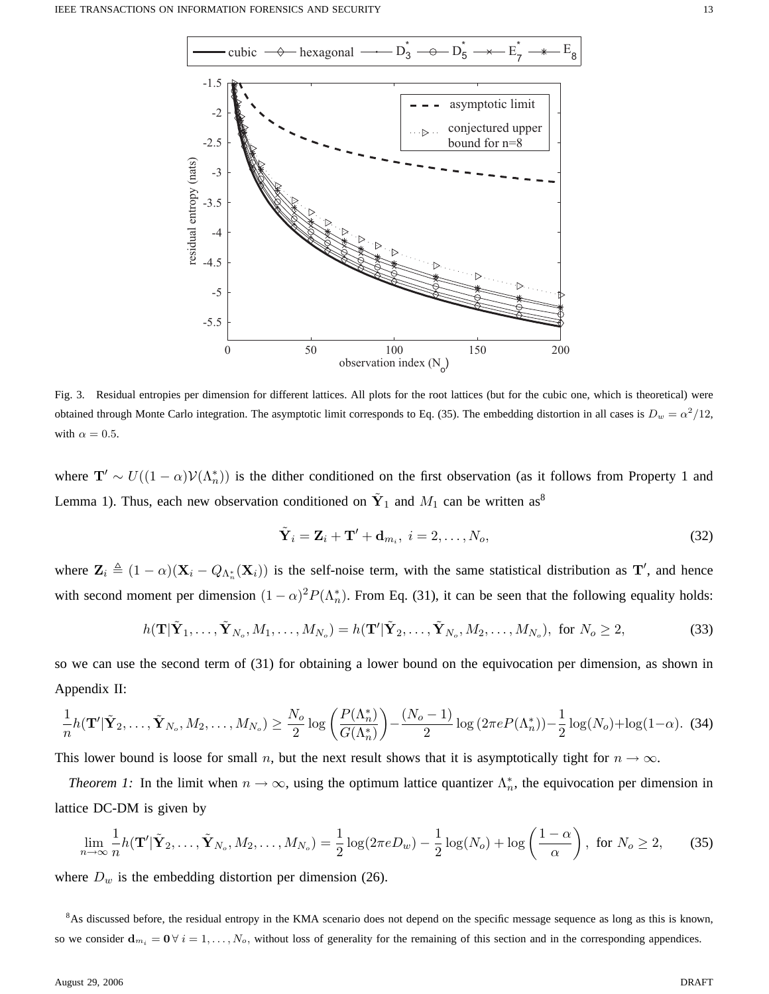

Fig. 3. Residual entropies per dimension for different lattices. All plots for the root lattices (but for the cubic one, which is theoretical) were obtained through Monte Carlo integration. The asymptotic limit corresponds to Eq. (35). The embedding distortion in all cases is  $D_w = \alpha^2/12$ , with  $\alpha = 0.5$ .

where  $\mathbf{T}' \sim U((1-\alpha)\mathcal{V}(\Lambda_n^*))$  is the dither conditioned on the first observation (as it follows from Property 1 and Lemma 1). Thus, each new observation conditioned on  $\tilde{\mathbf{Y}}_1$  and  $M_1$  can be written as<sup>8</sup>

$$
\tilde{\mathbf{Y}}_i = \mathbf{Z}_i + \mathbf{T}' + \mathbf{d}_{m_i}, \ i = 2, \dots, N_o,
$$
\n(32)

where  $\mathbf{Z}_i \triangleq (1 - \alpha)(\mathbf{X}_i - Q_{\Lambda_n^*}(\mathbf{X}_i))$  is the self-noise term, with the same statistical distribution as  $\mathbf{T}'$ , and hence with second moment per dimension  $(1 - \alpha)^2 P(\Lambda_n^*)$ . From Eq. (31), it can be seen that the following equality holds:

$$
h(\mathbf{T}|\tilde{\mathbf{Y}}_1,\ldots,\tilde{\mathbf{Y}}_{N_o},M_1,\ldots,M_{N_o})=h(\mathbf{T}'|\tilde{\mathbf{Y}}_2,\ldots,\tilde{\mathbf{Y}}_{N_o},M_2,\ldots,M_{N_o}),\text{ for }N_o\geq 2,
$$
\n(33)

so we can use the second term of (31) for obtaining a lower bound on the equivocation per dimension, as shown in Appendix II:

$$
\frac{1}{n}h(\mathbf{T}'|\tilde{\mathbf{Y}}_2,\ldots,\tilde{\mathbf{Y}}_{N_o},M_2,\ldots,M_{N_o}) \ge \frac{N_o}{2}\log\left(\frac{P(\Lambda_n^*)}{G(\Lambda_n^*)}\right) - \frac{(N_o-1)}{2}\log(2\pi e P(\Lambda_n^*)) - \frac{1}{2}\log(N_o) + \log(1-\alpha). \tag{34}
$$

This lower bound is loose for small n, but the next result shows that it is asymptotically tight for  $n \to \infty$ .

*Theorem 1:* In the limit when  $n \to \infty$ , using the optimum lattice quantizer  $\Lambda_n^*$ , the equivocation per dimension in lattice DC-DM is given by

$$
\lim_{n \to \infty} \frac{1}{n} h(\mathbf{T}' | \tilde{\mathbf{Y}}_2, \dots, \tilde{\mathbf{Y}}_{N_o}, M_2, \dots, M_{N_o}) = \frac{1}{2} \log(2\pi e D_w) - \frac{1}{2} \log(N_o) + \log\left(\frac{1-\alpha}{\alpha}\right), \text{ for } N_o \ge 2,
$$
 (35)

where  $D_w$  is the embedding distortion per dimension (26).

<sup>8</sup>As discussed before, the residual entropy in the KMA scenario does not depend on the specific message sequence as long as this is known, so we consider  $\mathbf{d}_{m_i} = \mathbf{0} \forall i = 1, \dots, N_o$ , without loss of generality for the remaining of this section and in the corresponding appendices.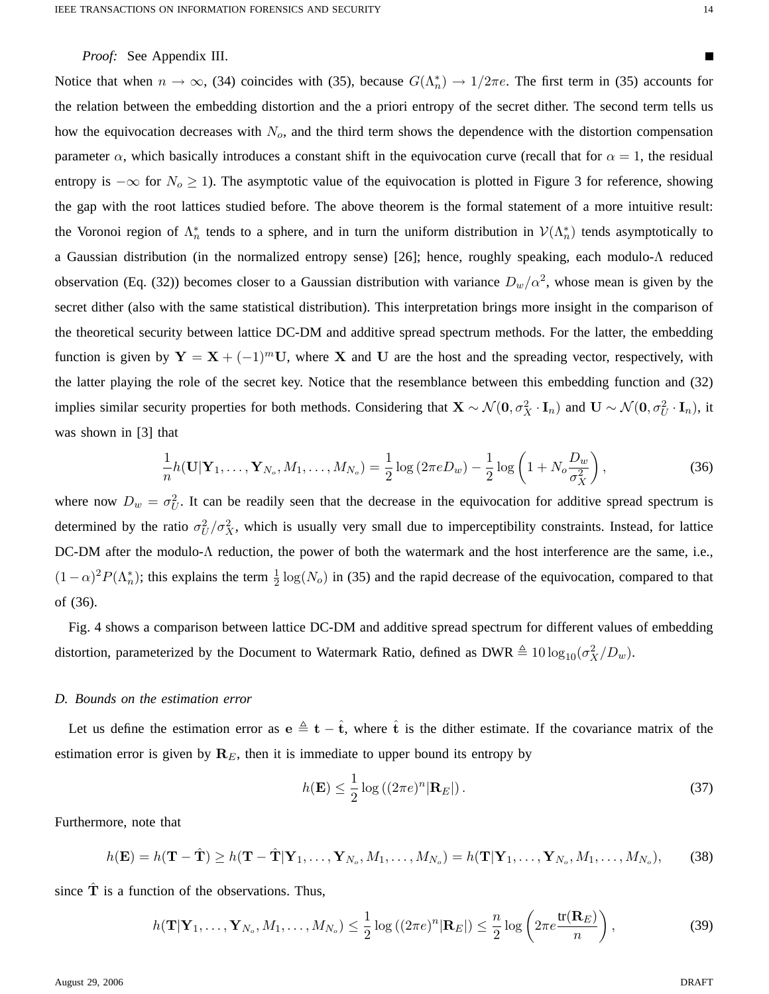$\Box$ 

# *Proof:* See Appendix III.

Notice that when  $n \to \infty$ , (34) coincides with (35), because  $G(\Lambda_n^*) \to 1/2\pi e$ . The first term in (35) accounts for the relation between the embedding distortion and the a priori entropy of the secret dither. The second term tells us how the equivocation decreases with  $N<sub>o</sub>$ , and the third term shows the dependence with the distortion compensation parameter  $\alpha$ , which basically introduces a constant shift in the equivocation curve (recall that for  $\alpha = 1$ , the residual entropy is  $-\infty$  for  $N_o \ge 1$ ). The asymptotic value of the equivocation is plotted in Figure 3 for reference, showing the gap with the root lattices studied before. The above theorem is the formal statement of a more intuitive result: the Voronoi region of  $\Lambda_n^*$  tends to a sphere, and in turn the uniform distribution in  $\mathcal{V}(\Lambda_n^*)$  tends asymptotically to a Gaussian distribution (in the normalized entropy sense) [26]; hence, roughly speaking, each modulo-Λ reduced observation (Eq. (32)) becomes closer to a Gaussian distribution with variance  $D_w/\alpha^2$ , whose mean is given by the secret dither (also with the same statistical distribution). This interpretation brings more insight in the comparison of the theoretical security between lattice DC-DM and additive spread spectrum methods. For the latter, the embedding function is given by  $Y = X + (-1)^m U$ , where X and U are the host and the spreading vector, respectively, with the latter playing the role of the secret key. Notice that the resemblance between this embedding function and (32) implies similar security properties for both methods. Considering that  $\mathbf{X} \sim \mathcal{N}(\mathbf{0}, \sigma_X^2 \cdot \mathbf{I}_n)$  and  $\mathbf{U} \sim \mathcal{N}(\mathbf{0}, \sigma_U^2 \cdot \mathbf{I}_n)$ , it was shown in [3] that

$$
\frac{1}{n}h(\mathbf{U}|\mathbf{Y}_1,\ldots,\mathbf{Y}_{N_o},M_1,\ldots,M_{N_o})=\frac{1}{2}\log\left(2\pi eD_w\right)-\frac{1}{2}\log\left(1+N_o\frac{D_w}{\sigma_X^2}\right),\tag{36}
$$

where now  $D_w = \sigma_U^2$ . It can be readily seen that the decrease in the equivocation for additive spread spectrum is determined by the ratio  $\sigma_U^2/\sigma_X^2$ , which is usually very small due to imperceptibility constraints. Instead, for lattice DC-DM after the modulo-Λ reduction, the power of both the watermark and the host interference are the same, i.e.,  $(1-\alpha)^2 P(\Lambda_n^*)$ ; this explains the term  $\frac{1}{2} \log(N_o)$  in (35) and the rapid decrease of the equivocation, compared to that of (36).

Fig. 4 shows a comparison between lattice DC-DM and additive spread spectrum for different values of embedding distortion, parameterized by the Document to Watermark Ratio, defined as DWR  $\triangleq 10 \log_{10} (\sigma_X^2/D_w)$ .

#### *D. Bounds on the estimation error*

Let us define the estimation error as  $e \triangleq t - \hat{t}$ , where  $\hat{t}$  is the dither estimate. If the covariance matrix of the estimation error is given by  $\mathbf{R}_E$ , then it is immediate to upper bound its entropy by

$$
h(\mathbf{E}) \le \frac{1}{2} \log \left( (2\pi e)^n |\mathbf{R}_E| \right). \tag{37}
$$

Furthermore, note that

$$
h(\mathbf{E}) = h(\mathbf{T} - \hat{\mathbf{T}}) \ge h(\mathbf{T} - \hat{\mathbf{T}} | \mathbf{Y}_1, \dots, \mathbf{Y}_{N_o}, M_1, \dots, M_{N_o}) = h(\mathbf{T} | \mathbf{Y}_1, \dots, \mathbf{Y}_{N_o}, M_1, \dots, M_{N_o}),
$$
(38)

since  $\hat{\mathbf{T}}$  is a function of the observations. Thus,

$$
h(\mathbf{T}|\mathbf{Y}_1,\ldots,\mathbf{Y}_{N_o},M_1,\ldots,M_{N_o}) \leq \frac{1}{2}\log\left((2\pi e)^n|\mathbf{R}_E|\right) \leq \frac{n}{2}\log\left(2\pi e^{\frac{\mathbf{tr}(\mathbf{R}_E)}{n}}\right),\tag{39}
$$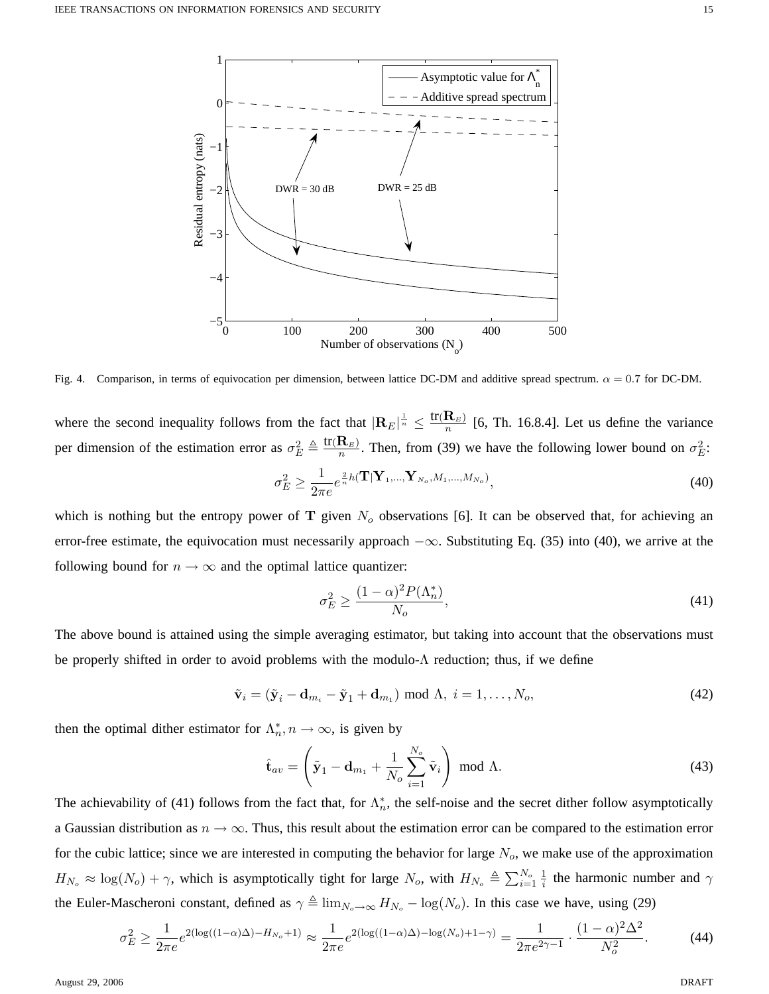

Fig. 4. Comparison, in terms of equivocation per dimension, between lattice DC-DM and additive spread spectrum.  $\alpha = 0.7$  for DC-DM.

where the second inequality follows from the fact that  $|\mathbf{R}_E|^{\frac{1}{n}} \leq$  $\text{tr}(\mathbf{R}_{\scriptscriptstyle{E}})$  $\frac{\mathbf{n}(\mathbf{k}_E)}{n}$  [6, Th. 16.8.4]. Let us define the variance per dimension of the estimation error as  $\sigma_E^2 \triangleq \frac{\text{tr}(\mathbf{R}_E)}{n}$  $\frac{\mathbf{R}_{E}}{n}$ . Then, from (39) we have the following lower bound on  $\sigma_E^2$ :  $\sigma_E^2 \geq$ 1  $\frac{1}{2\pi e}e^{\frac{2}{n}h(\mathbf{T}|\mathbf{Y}_{1},...,\mathbf{Y}_{N_o},M_{1},...,M_{N_o})}$  $, (40)$ 

which is nothing but the entropy power of  $T$  given  $N<sub>o</sub>$  observations [6]. It can be observed that, for achieving an error-free estimate, the equivocation must necessarily approach  $-\infty$ . Substituting Eq. (35) into (40), we arrive at the following bound for  $n \to \infty$  and the optimal lattice quantizer:

$$
\sigma_E^2 \ge \frac{(1-\alpha)^2 P(\Lambda_n^*)}{N_o},\tag{41}
$$

The above bound is attained using the simple averaging estimator, but taking into account that the observations must be properly shifted in order to avoid problems with the modulo-Λ reduction; thus, if we define

$$
\tilde{\mathbf{v}}_i = (\tilde{\mathbf{y}}_i - \mathbf{d}_{m_i} - \tilde{\mathbf{y}}_1 + \mathbf{d}_{m_1}) \text{ mod } \Lambda, \ i = 1, \dots, N_o,
$$
\n(42)

then the optimal dither estimator for  $\Lambda_n^*$ ,  $n \to \infty$ , is given by

$$
\hat{\mathbf{t}}_{av} = \left(\tilde{\mathbf{y}}_1 - \mathbf{d}_{m_1} + \frac{1}{N_o} \sum_{i=1}^{N_o} \tilde{\mathbf{v}}_i\right) \text{ mod } \Lambda. \tag{43}
$$

The achievability of (41) follows from the fact that, for  $\Lambda_n^*$ , the self-noise and the secret dither follow asymptotically a Gaussian distribution as  $n \to \infty$ . Thus, this result about the estimation error can be compared to the estimation error for the cubic lattice; since we are interested in computing the behavior for large  $N<sub>o</sub>$ , we make use of the approximation  $H_{N_o} \approx \log(N_o) + \gamma$ , which is asymptotically tight for large  $N_o$ , with  $H_{N_o} \triangleq \sum_{i=1}^{N_o} \frac{1}{i}$  $\frac{1}{i}$  the harmonic number and  $\gamma$ the Euler-Mascheroni constant, defined as  $\gamma \triangleq \lim_{N_o \to \infty} H_{N_o} - \log(N_o)$ . In this case we have, using (29)

$$
\sigma_E^2 \ge \frac{1}{2\pi e} e^{2(\log((1-\alpha)\Delta) - H_{N_o} + 1)} \approx \frac{1}{2\pi e} e^{2(\log((1-\alpha)\Delta) - \log(N_o) + 1 - \gamma)} = \frac{1}{2\pi e^{2\gamma - 1}} \cdot \frac{(1-\alpha)^2 \Delta^2}{N_o^2}.
$$
 (44)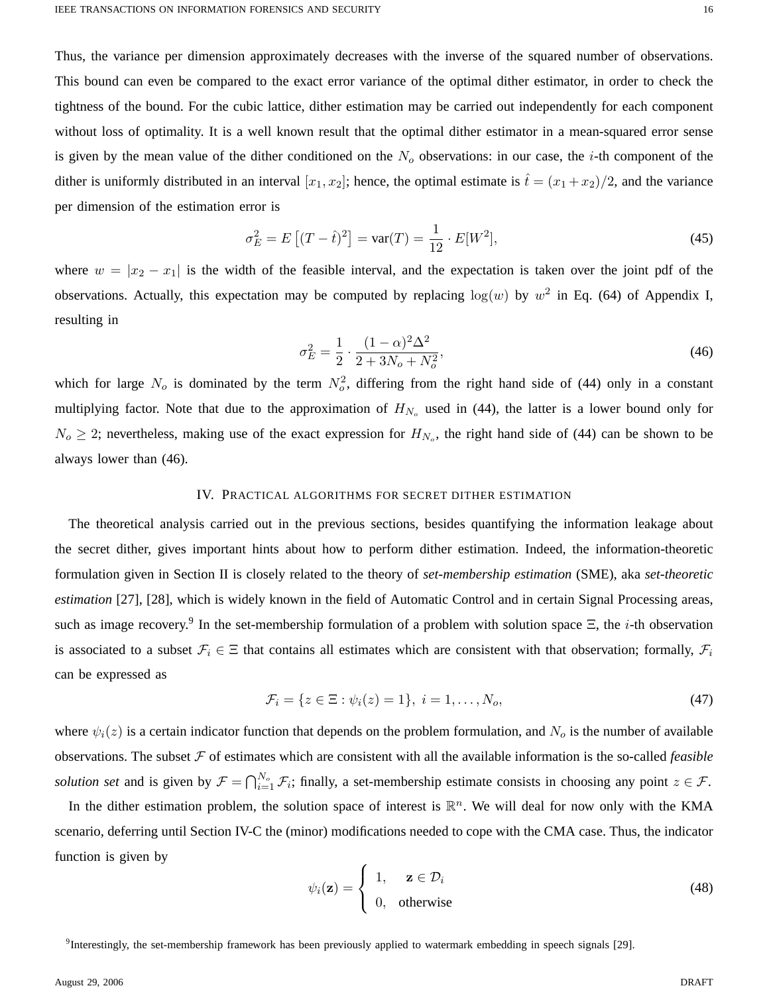Thus, the variance per dimension approximately decreases with the inverse of the squared number of observations. This bound can even be compared to the exact error variance of the optimal dither estimator, in order to check the tightness of the bound. For the cubic lattice, dither estimation may be carried out independently for each component without loss of optimality. It is a well known result that the optimal dither estimator in a mean-squared error sense is given by the mean value of the dither conditioned on the  $N<sub>o</sub>$  observations: in our case, the *i*-th component of the dither is uniformly distributed in an interval  $[x_1, x_2]$ ; hence, the optimal estimate is  $\hat{t} = (x_1 + x_2)/2$ , and the variance per dimension of the estimation error is

$$
\sigma_E^2 = E\left[ (T - \hat{t})^2 \right] = \text{var}(T) = \frac{1}{12} \cdot E[W^2],\tag{45}
$$

where  $w = |x_2 - x_1|$  is the width of the feasible interval, and the expectation is taken over the joint pdf of the observations. Actually, this expectation may be computed by replacing  $log(w)$  by  $w^2$  in Eq. (64) of Appendix I, resulting in

$$
\sigma_E^2 = \frac{1}{2} \cdot \frac{(1 - \alpha)^2 \Delta^2}{2 + 3N_o + N_o^2},\tag{46}
$$

which for large  $N_o$  is dominated by the term  $N_o^2$ , differing from the right hand side of (44) only in a constant multiplying factor. Note that due to the approximation of  $H_{N_o}$  used in (44), the latter is a lower bound only for  $N_o \geq 2$ ; nevertheless, making use of the exact expression for  $H_{N_o}$ , the right hand side of (44) can be shown to be always lower than (46).

## IV. PRACTICAL ALGORITHMS FOR SECRET DITHER ESTIMATION

The theoretical analysis carried out in the previous sections, besides quantifying the information leakage about the secret dither, gives important hints about how to perform dither estimation. Indeed, the information-theoretic formulation given in Section II is closely related to the theory of *set-membership estimation* (SME), aka *set-theoretic estimation* [27], [28], which is widely known in the field of Automatic Control and in certain Signal Processing areas, such as image recovery.<sup>9</sup> In the set-membership formulation of a problem with solution space  $\Xi$ , the *i*-th observation is associated to a subset  $\mathcal{F}_i \in \Xi$  that contains all estimates which are consistent with that observation; formally,  $\mathcal{F}_i$ can be expressed as

$$
\mathcal{F}_i = \{ z \in \Xi : \psi_i(z) = 1 \}, \ i = 1, \dots, N_o,
$$
\n(47)

where  $\psi_i(z)$  is a certain indicator function that depends on the problem formulation, and  $N_o$  is the number of available observations. The subset F of estimates which are consistent with all the available information is the so-called *feasible solution set* and is given by  $\mathcal{F} = \bigcap_{i=1}^{N_o} \mathcal{F}_i$ ; finally, a set-membership estimate consists in choosing any point  $z \in \mathcal{F}$ .

In the dither estimation problem, the solution space of interest is  $\mathbb{R}^n$ . We will deal for now only with the KMA scenario, deferring until Section IV-C the (minor) modifications needed to cope with the CMA case. Thus, the indicator function is given by

$$
\psi_i(\mathbf{z}) = \begin{cases} 1, & \mathbf{z} \in \mathcal{D}_i \\ 0, & \text{otherwise} \end{cases}
$$
 (48)

<sup>9</sup> Interestingly, the set-membership framework has been previously applied to watermark embedding in speech signals [29].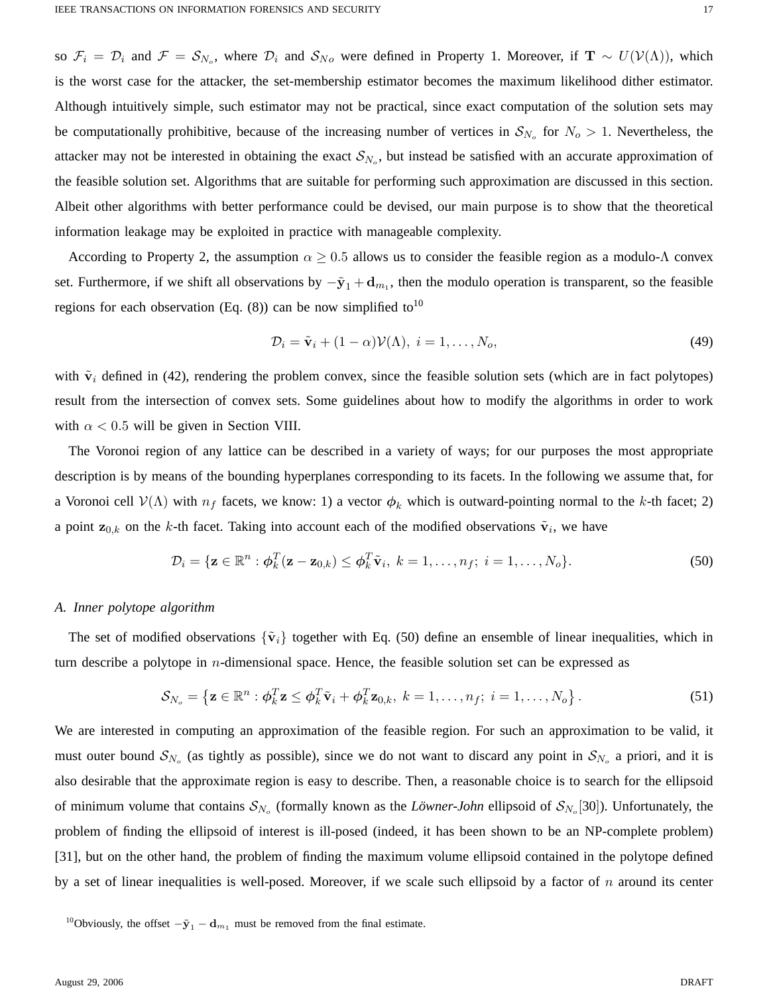so  $\mathcal{F}_i = \mathcal{D}_i$  and  $\mathcal{F} = \mathcal{S}_{N_o}$ , where  $\mathcal{D}_i$  and  $\mathcal{S}_{N_o}$  were defined in Property 1. Moreover, if  $\mathbf{T} \sim U(\mathcal{V}(\Lambda))$ , which is the worst case for the attacker, the set-membership estimator becomes the maximum likelihood dither estimator. Although intuitively simple, such estimator may not be practical, since exact computation of the solution sets may be computationally prohibitive, because of the increasing number of vertices in  $S_{N_o}$  for  $N_o > 1$ . Nevertheless, the attacker may not be interested in obtaining the exact  $S_{N_o}$ , but instead be satisfied with an accurate approximation of the feasible solution set. Algorithms that are suitable for performing such approximation are discussed in this section. Albeit other algorithms with better performance could be devised, our main purpose is to show that the theoretical information leakage may be exploited in practice with manageable complexity.

According to Property 2, the assumption  $\alpha \geq 0.5$  allows us to consider the feasible region as a modulo- $\Lambda$  convex set. Furthermore, if we shift all observations by  $-\tilde{y}_1 + d_{m_1}$ , then the modulo operation is transparent, so the feasible regions for each observation (Eq.  $(8)$ ) can be now simplified to<sup>10</sup>

$$
\mathcal{D}_i = \tilde{\mathbf{v}}_i + (1 - \alpha)\mathcal{V}(\Lambda), \ i = 1, \dots, N_o,
$$
\n(49)

with  $\tilde{\mathbf{v}}_i$  defined in (42), rendering the problem convex, since the feasible solution sets (which are in fact polytopes) result from the intersection of convex sets. Some guidelines about how to modify the algorithms in order to work with  $\alpha$  < 0.5 will be given in Section VIII.

The Voronoi region of any lattice can be described in a variety of ways; for our purposes the most appropriate description is by means of the bounding hyperplanes corresponding to its facets. In the following we assume that, for a Voronoi cell  $V(\Lambda)$  with  $n_f$  facets, we know: 1) a vector  $\phi_k$  which is outward-pointing normal to the k-th facet; 2) a point  $z_{0,k}$  on the k-th facet. Taking into account each of the modified observations  $\tilde{v}_i$ , we have

$$
\mathcal{D}_i = \{ \mathbf{z} \in \mathbb{R}^n : \boldsymbol{\phi}_k^T(\mathbf{z} - \mathbf{z}_{0,k}) \leq \boldsymbol{\phi}_k^T \tilde{\mathbf{v}}_i, \ k = 1, \dots, n_f; \ i = 1, \dots, N_o \}. \tag{50}
$$

## *A. Inner polytope algorithm*

The set of modified observations  $\{\tilde{\mathbf{v}}_i\}$  together with Eq. (50) define an ensemble of linear inequalities, which in turn describe a polytope in  $n$ -dimensional space. Hence, the feasible solution set can be expressed as

$$
\mathcal{S}_{N_o} = \left\{ \mathbf{z} \in \mathbb{R}^n : \boldsymbol{\phi}_k^T \mathbf{z} \leq \boldsymbol{\phi}_k^T \tilde{\mathbf{v}}_i + \boldsymbol{\phi}_k^T \mathbf{z}_{0,k}, \ k = 1, \ldots, n_f; \ i = 1, \ldots, N_o \right\}.
$$
 (51)

We are interested in computing an approximation of the feasible region. For such an approximation to be valid, it must outer bound  $S_{N_o}$  (as tightly as possible), since we do not want to discard any point in  $S_{N_o}$  a priori, and it is also desirable that the approximate region is easy to describe. Then, a reasonable choice is to search for the ellipsoid of minimum volume that contains  $S_{N_o}$  (formally known as the *Löwner-John* ellipsoid of  $S_{N_o}$ [30]). Unfortunately, the problem of finding the ellipsoid of interest is ill-posed (indeed, it has been shown to be an NP-complete problem) [31], but on the other hand, the problem of finding the maximum volume ellipsoid contained in the polytope defined by a set of linear inequalities is well-posed. Moreover, if we scale such ellipsoid by a factor of  $n$  around its center

<sup>10</sup>Obviously, the offset  $-\tilde{y}_1 - d_{m_1}$  must be removed from the final estimate.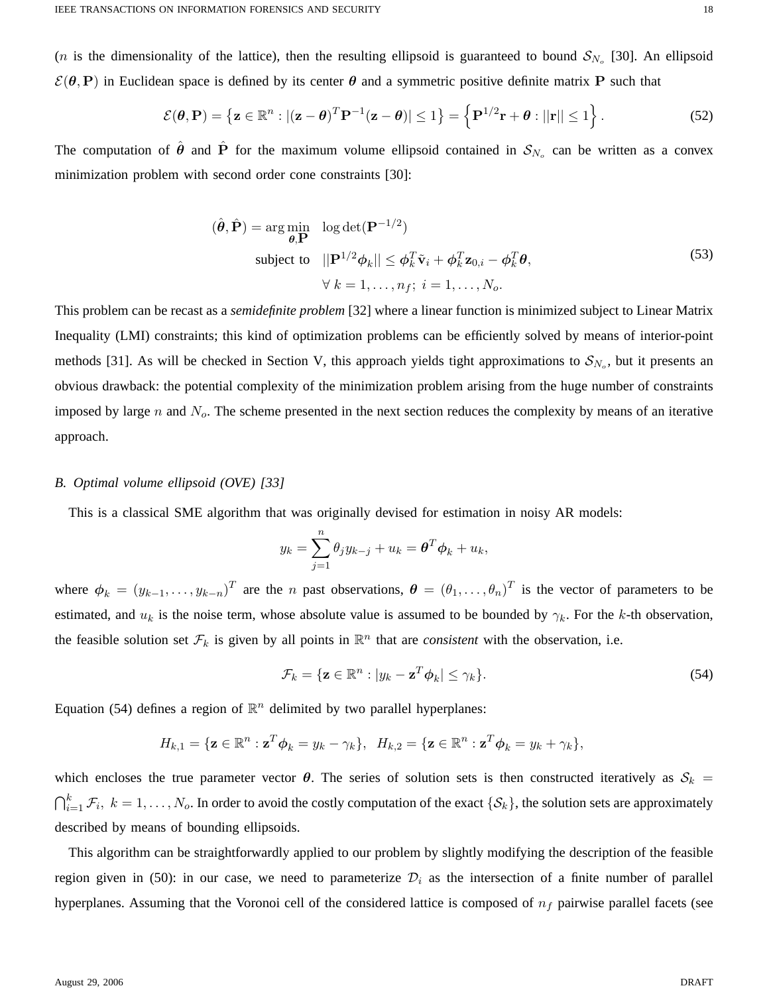(*n* is the dimensionality of the lattice), then the resulting ellipsoid is guaranteed to bound  $S_{N_o}$  [30]. An ellipsoid  $\mathcal{E}(\theta, \mathbf{P})$  in Euclidean space is defined by its center  $\theta$  and a symmetric positive definite matrix P such that

$$
\mathcal{E}(\boldsymbol{\theta}, \mathbf{P}) = \left\{ \mathbf{z} \in \mathbb{R}^n : |(\mathbf{z} - \boldsymbol{\theta})^T \mathbf{P}^{-1} (\mathbf{z} - \boldsymbol{\theta})| \le 1 \right\} = \left\{ \mathbf{P}^{1/2} \mathbf{r} + \boldsymbol{\theta} : ||\mathbf{r}|| \le 1 \right\}.
$$
 (52)

The computation of  $\hat{\theta}$  and  $\hat{P}$  for the maximum volume ellipsoid contained in  $S_{N_o}$  can be written as a convex minimization problem with second order cone constraints [30]:

$$
(\hat{\boldsymbol{\theta}}, \hat{\mathbf{P}}) = \underset{\boldsymbol{\theta}, \mathbf{P}}{\text{arg min}} \quad \log \det(\mathbf{P}^{-1/2})
$$
  
subject to 
$$
||\mathbf{P}^{1/2}\boldsymbol{\phi}_k|| \leq \boldsymbol{\phi}_k^T\tilde{\mathbf{v}}_i + \boldsymbol{\phi}_k^T\mathbf{z}_{0,i} - \boldsymbol{\phi}_k^T\boldsymbol{\theta},
$$

$$
\forall k = 1, \dots, n_f; i = 1, \dots, N_o.
$$
 (53)

This problem can be recast as a *semidefinite problem* [32] where a linear function is minimized subject to Linear Matrix Inequality (LMI) constraints; this kind of optimization problems can be efficiently solved by means of interior-point methods [31]. As will be checked in Section V, this approach yields tight approximations to  $S_{N_o}$ , but it presents an obvious drawback: the potential complexity of the minimization problem arising from the huge number of constraints imposed by large n and  $N<sub>o</sub>$ . The scheme presented in the next section reduces the complexity by means of an iterative approach.

# *B. Optimal volume ellipsoid (OVE) [33]*

This is a classical SME algorithm that was originally devised for estimation in noisy AR models:

$$
y_k = \sum_{j=1}^n \theta_j y_{k-j} + u_k = \boldsymbol{\theta}^T \boldsymbol{\phi}_k + u_k,
$$

where  $\phi_k = (y_{k-1}, \dots, y_{k-n})^T$  are the *n* past observations,  $\theta = (\theta_1, \dots, \theta_n)^T$  is the vector of parameters to be estimated, and  $u_k$  is the noise term, whose absolute value is assumed to be bounded by  $\gamma_k$ . For the k-th observation, the feasible solution set  $\mathcal{F}_k$  is given by all points in  $\mathbb{R}^n$  that are *consistent* with the observation, i.e.

$$
\mathcal{F}_k = \{ \mathbf{z} \in \mathbb{R}^n : |y_k - \mathbf{z}^T \boldsymbol{\phi}_k| \leq \gamma_k \}. \tag{54}
$$

Equation (54) defines a region of  $\mathbb{R}^n$  delimited by two parallel hyperplanes:

$$
H_{k,1} = \{ \mathbf{z} \in \mathbb{R}^n : \mathbf{z}^T \boldsymbol{\phi}_k = y_k - \gamma_k \}, \ \ H_{k,2} = \{ \mathbf{z} \in \mathbb{R}^n : \mathbf{z}^T \boldsymbol{\phi}_k = y_k + \gamma_k \},
$$

which encloses the true parameter vector  $\theta$ . The series of solution sets is then constructed iteratively as  $S_k$  =  $\bigcap_{i=1}^k \mathcal{F}_i$ ,  $k = 1, \ldots, N_o$ . In order to avoid the costly computation of the exact  $\{\mathcal{S}_k\}$ , the solution sets are approximately described by means of bounding ellipsoids.

This algorithm can be straightforwardly applied to our problem by slightly modifying the description of the feasible region given in (50): in our case, we need to parameterize  $\mathcal{D}_i$  as the intersection of a finite number of parallel hyperplanes. Assuming that the Voronoi cell of the considered lattice is composed of  $n_f$  pairwise parallel facets (see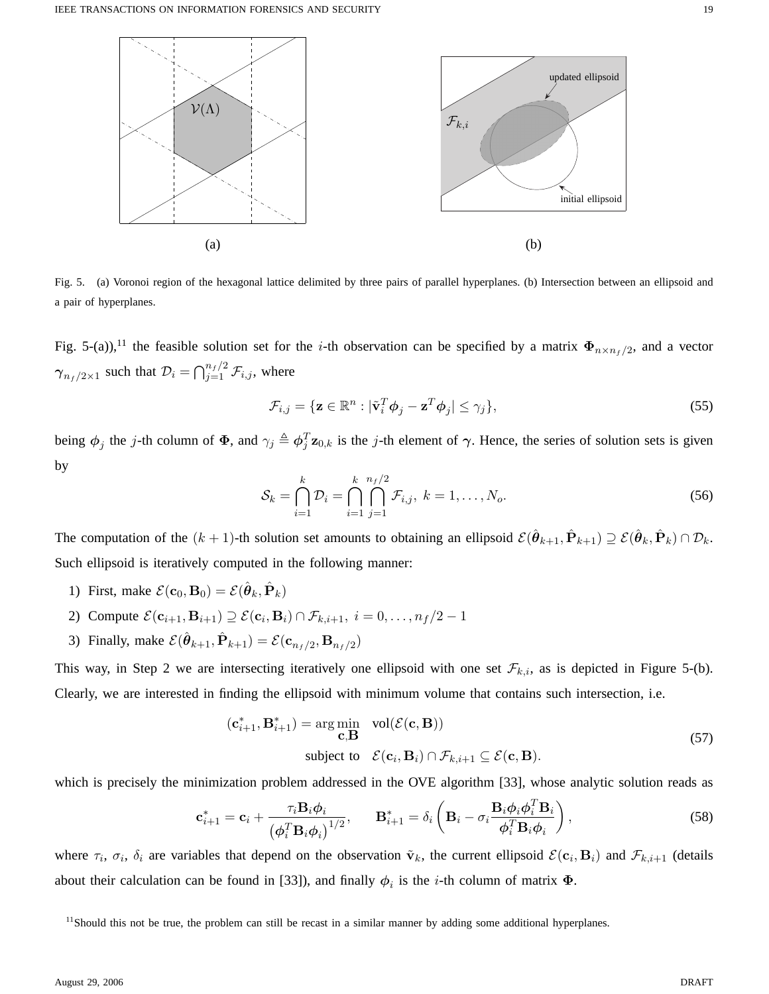

Fig. 5. (a) Voronoi region of the hexagonal lattice delimited by three pairs of parallel hyperplanes. (b) Intersection between an ellipsoid and a pair of hyperplanes.

Fig. 5-(a)),<sup>11</sup> the feasible solution set for the *i*-th observation can be specified by a matrix  $\Phi_{n \times n_f/2}$ , and a vector  $\gamma_{n_f/2\times1}$  such that  $\mathcal{D}_i = \bigcap_{j=1}^{n_f/2} \mathcal{F}_{i,j}$ , where

$$
\mathcal{F}_{i,j} = \{ \mathbf{z} \in \mathbb{R}^n : |\tilde{\mathbf{v}}_i^T \boldsymbol{\phi}_j - \mathbf{z}^T \boldsymbol{\phi}_j| \le \gamma_j \},\tag{55}
$$

being  $\phi_j$  the j-th column of  $\Phi$ , and  $\gamma_j \triangleq \phi_j^T \mathbf{z}_{0,k}$  is the j-th element of  $\gamma$ . Hence, the series of solution sets is given by

$$
S_k = \bigcap_{i=1}^k \mathcal{D}_i = \bigcap_{i=1}^k \bigcap_{j=1}^{n_f/2} \mathcal{F}_{i,j}, \ k = 1, \dots, N_o.
$$
 (56)

The computation of the  $(k+1)$ -th solution set amounts to obtaining an ellipsoid  $\mathcal{E}(\hat{\theta}_{k+1}, \hat{\mathbf{P}}_{k+1}) \supseteq \mathcal{E}(\hat{\theta}_k, \hat{\mathbf{P}}_k) \cap \mathcal{D}_k$ . Such ellipsoid is iteratively computed in the following manner:

- 1) First, make  $\mathcal{E}(\mathbf{c}_0, \mathbf{B}_0) = \mathcal{E}(\hat{\boldsymbol{\theta}}_k, \hat{\mathbf{P}}_k)$
- 2) Compute  $\mathcal{E}(\mathbf{c}_{i+1}, \mathbf{B}_{i+1}) \supseteq \mathcal{E}(\mathbf{c}_i, \mathbf{B}_i) \cap \mathcal{F}_{k,i+1}, i = 0, \ldots, n_f/2 1$
- 3) Finally, make  $\mathcal{E}(\hat{\theta}_{k+1}, \hat{\mathbf{P}}_{k+1}) = \mathcal{E}(\mathbf{c}_{n_f/2}, \mathbf{B}_{n_f/2})$

This way, in Step 2 we are intersecting iteratively one ellipsoid with one set  $\mathcal{F}_{k,i}$ , as is depicted in Figure 5-(b). Clearly, we are interested in finding the ellipsoid with minimum volume that contains such intersection, i.e.

$$
(\mathbf{c}_{i+1}^*, \mathbf{B}_{i+1}^*) = \underset{\mathbf{c}, \mathbf{B}}{\text{arg min}} \quad \text{vol}(\mathcal{E}(\mathbf{c}, \mathbf{B}))
$$
  
subject to  $\mathcal{E}(\mathbf{c}_i, \mathbf{B}_i) \cap \mathcal{F}_{k,i+1} \subseteq \mathcal{E}(\mathbf{c}, \mathbf{B}).$  (57)

which is precisely the minimization problem addressed in the OVE algorithm [33], whose analytic solution reads as

$$
\mathbf{c}_{i+1}^* = \mathbf{c}_i + \frac{\tau_i \mathbf{B}_i \boldsymbol{\phi}_i}{\left(\boldsymbol{\phi}_i^T \mathbf{B}_i \boldsymbol{\phi}_i\right)^{1/2}}, \qquad \mathbf{B}_{i+1}^* = \delta_i \left(\mathbf{B}_i - \sigma_i \frac{\mathbf{B}_i \boldsymbol{\phi}_i \boldsymbol{\phi}_i^T \mathbf{B}_i}{\boldsymbol{\phi}_i^T \mathbf{B}_i \boldsymbol{\phi}_i}\right), \tag{58}
$$

where  $\tau_i$ ,  $\sigma_i$ ,  $\delta_i$  are variables that depend on the observation  $\tilde{\mathbf{v}}_k$ , the current ellipsoid  $\mathcal{E}(\mathbf{c}_i, \mathbf{B}_i)$  and  $\mathcal{F}_{k,i+1}$  (details about their calculation can be found in [33]), and finally  $\phi_i$  is the *i*-th column of matrix  $\Phi$ .

<sup>11</sup>Should this not be true, the problem can still be recast in a similar manner by adding some additional hyperplanes.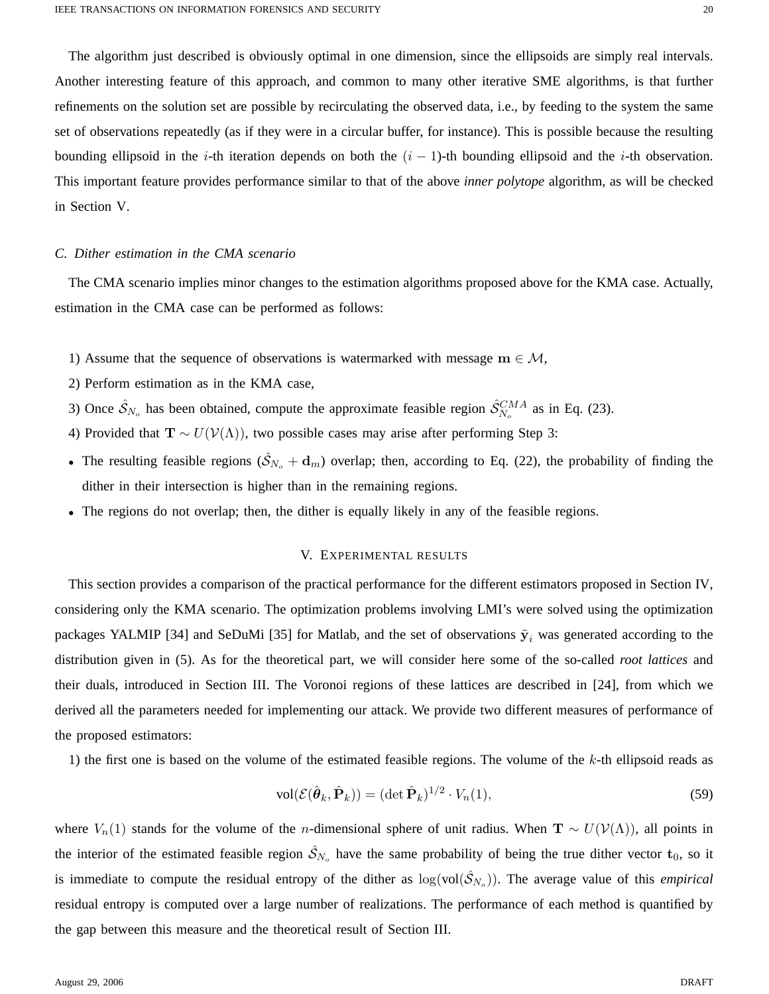The algorithm just described is obviously optimal in one dimension, since the ellipsoids are simply real intervals. Another interesting feature of this approach, and common to many other iterative SME algorithms, is that further refinements on the solution set are possible by recirculating the observed data, i.e., by feeding to the system the same

set of observations repeatedly (as if they were in a circular buffer, for instance). This is possible because the resulting bounding ellipsoid in the i-th iteration depends on both the  $(i - 1)$ -th bounding ellipsoid and the i-th observation. This important feature provides performance similar to that of the above *inner polytope* algorithm, as will be checked in Section V.

## *C. Dither estimation in the CMA scenario*

The CMA scenario implies minor changes to the estimation algorithms proposed above for the KMA case. Actually, estimation in the CMA case can be performed as follows:

- 1) Assume that the sequence of observations is watermarked with message  $m \in \mathcal{M}$ ,
- 2) Perform estimation as in the KMA case,
- 3) Once  $\hat{S}_{N_o}$  has been obtained, compute the approximate feasible region  $\hat{S}_{N_o}^{CMA}$  as in Eq. (23).
- 4) Provided that  $\mathbf{T} \sim U(\mathcal{V}(\Lambda))$ , two possible cases may arise after performing Step 3:
- The resulting feasible regions  $(\hat{S}_{N_o} + \mathbf{d}_m)$  overlap; then, according to Eq. (22), the probability of finding the dither in their intersection is higher than in the remaining regions.
- The regions do not overlap; then, the dither is equally likely in any of the feasible regions.

## V. EXPERIMENTAL RESULTS

This section provides a comparison of the practical performance for the different estimators proposed in Section IV, considering only the KMA scenario. The optimization problems involving LMI's were solved using the optimization packages YALMIP [34] and SeDuMi [35] for Matlab, and the set of observations  $\tilde{\mathbf{y}}_i$  was generated according to the distribution given in (5). As for the theoretical part, we will consider here some of the so-called *root lattices* and their duals, introduced in Section III. The Voronoi regions of these lattices are described in [24], from which we derived all the parameters needed for implementing our attack. We provide two different measures of performance of the proposed estimators:

1) the first one is based on the volume of the estimated feasible regions. The volume of the k-th ellipsoid reads as

$$
\text{vol}(\mathcal{E}(\hat{\boldsymbol{\theta}}_k, \hat{\mathbf{P}}_k)) = (\det \hat{\mathbf{P}}_k)^{1/2} \cdot V_n(1),\tag{59}
$$

where  $V_n(1)$  stands for the volume of the *n*-dimensional sphere of unit radius. When  $T \sim U(\mathcal{V}(\Lambda))$ , all points in the interior of the estimated feasible region  $\hat{S}_{N_o}$  have the same probability of being the true dither vector  $t_0$ , so it is immediate to compute the residual entropy of the dither as  $log(vol(\hat{S}_{N_o}))$ . The average value of this *empirical* residual entropy is computed over a large number of realizations. The performance of each method is quantified by the gap between this measure and the theoretical result of Section III.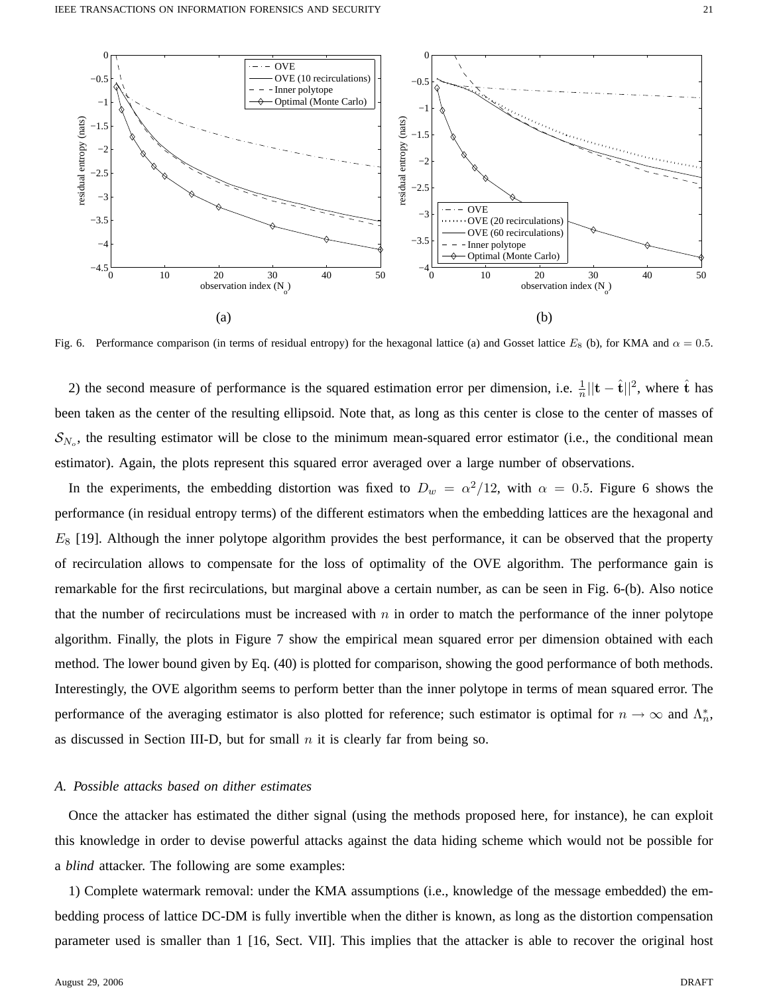

Fig. 6. Performance comparison (in terms of residual entropy) for the hexagonal lattice (a) and Gosset lattice  $E_8$  (b), for KMA and  $\alpha = 0.5$ .

2) the second measure of performance is the squared estimation error per dimension, i.e.  $\frac{1}{n}||\mathbf{t} - \hat{\mathbf{t}}||^2$ , where  $\hat{\mathbf{t}}$  has been taken as the center of the resulting ellipsoid. Note that, as long as this center is close to the center of masses of  $S_{N_o}$ , the resulting estimator will be close to the minimum mean-squared error estimator (i.e., the conditional mean estimator). Again, the plots represent this squared error averaged over a large number of observations.

In the experiments, the embedding distortion was fixed to  $D_w = \alpha^2/12$ , with  $\alpha = 0.5$ . Figure 6 shows the performance (in residual entropy terms) of the different estimators when the embedding lattices are the hexagonal and  $E_8$  [19]. Although the inner polytope algorithm provides the best performance, it can be observed that the property of recirculation allows to compensate for the loss of optimality of the OVE algorithm. The performance gain is remarkable for the first recirculations, but marginal above a certain number, as can be seen in Fig. 6-(b). Also notice that the number of recirculations must be increased with  $n$  in order to match the performance of the inner polytope algorithm. Finally, the plots in Figure 7 show the empirical mean squared error per dimension obtained with each method. The lower bound given by Eq. (40) is plotted for comparison, showing the good performance of both methods. Interestingly, the OVE algorithm seems to perform better than the inner polytope in terms of mean squared error. The performance of the averaging estimator is also plotted for reference; such estimator is optimal for  $n \to \infty$  and  $\Lambda_n^*$ , as discussed in Section III-D, but for small  $n$  it is clearly far from being so.

## *A. Possible attacks based on dither estimates*

Once the attacker has estimated the dither signal (using the methods proposed here, for instance), he can exploit this knowledge in order to devise powerful attacks against the data hiding scheme which would not be possible for a *blind* attacker. The following are some examples:

1) Complete watermark removal: under the KMA assumptions (i.e., knowledge of the message embedded) the embedding process of lattice DC-DM is fully invertible when the dither is known, as long as the distortion compensation parameter used is smaller than 1 [16, Sect. VII]. This implies that the attacker is able to recover the original host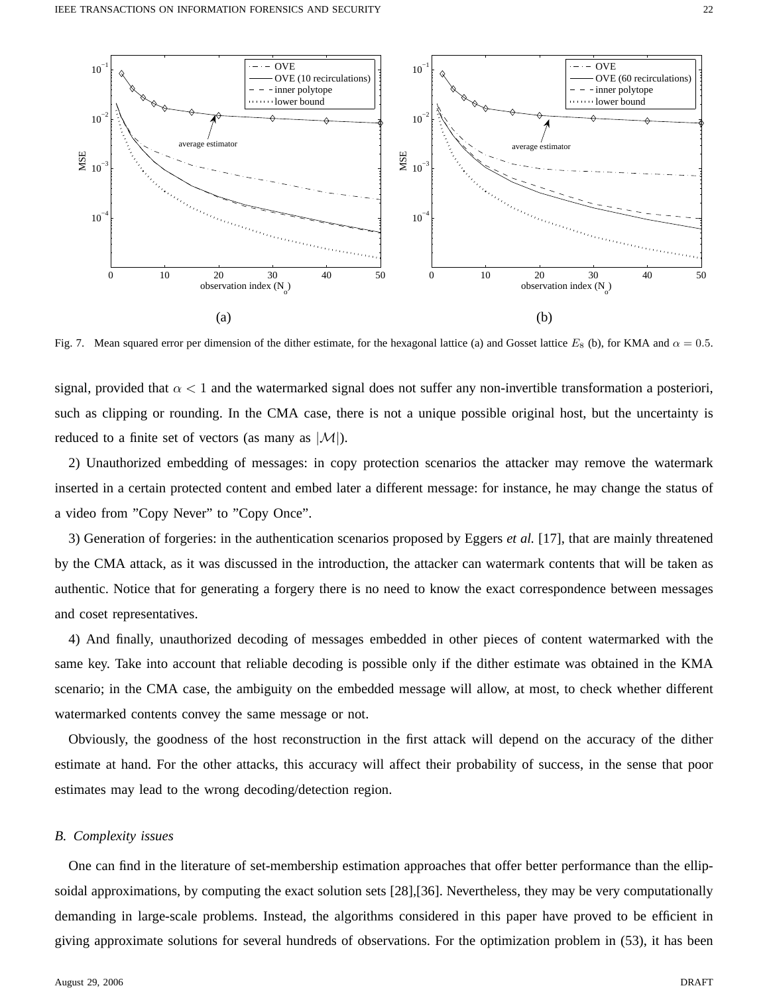

Fig. 7. Mean squared error per dimension of the dither estimate, for the hexagonal lattice (a) and Gosset lattice  $E_8$  (b), for KMA and  $\alpha = 0.5$ .

signal, provided that  $\alpha < 1$  and the watermarked signal does not suffer any non-invertible transformation a posteriori, such as clipping or rounding. In the CMA case, there is not a unique possible original host, but the uncertainty is reduced to a finite set of vectors (as many as  $|\mathcal{M}|$ ).

2) Unauthorized embedding of messages: in copy protection scenarios the attacker may remove the watermark inserted in a certain protected content and embed later a different message: for instance, he may change the status of a video from "Copy Never" to "Copy Once".

3) Generation of forgeries: in the authentication scenarios proposed by Eggers *et al.* [17], that are mainly threatened by the CMA attack, as it was discussed in the introduction, the attacker can watermark contents that will be taken as authentic. Notice that for generating a forgery there is no need to know the exact correspondence between messages and coset representatives.

4) And finally, unauthorized decoding of messages embedded in other pieces of content watermarked with the same key. Take into account that reliable decoding is possible only if the dither estimate was obtained in the KMA scenario; in the CMA case, the ambiguity on the embedded message will allow, at most, to check whether different watermarked contents convey the same message or not.

Obviously, the goodness of the host reconstruction in the first attack will depend on the accuracy of the dither estimate at hand. For the other attacks, this accuracy will affect their probability of success, in the sense that poor estimates may lead to the wrong decoding/detection region.

## *B. Complexity issues*

One can find in the literature of set-membership estimation approaches that offer better performance than the ellipsoidal approximations, by computing the exact solution sets [28],[36]. Nevertheless, they may be very computationally demanding in large-scale problems. Instead, the algorithms considered in this paper have proved to be efficient in giving approximate solutions for several hundreds of observations. For the optimization problem in (53), it has been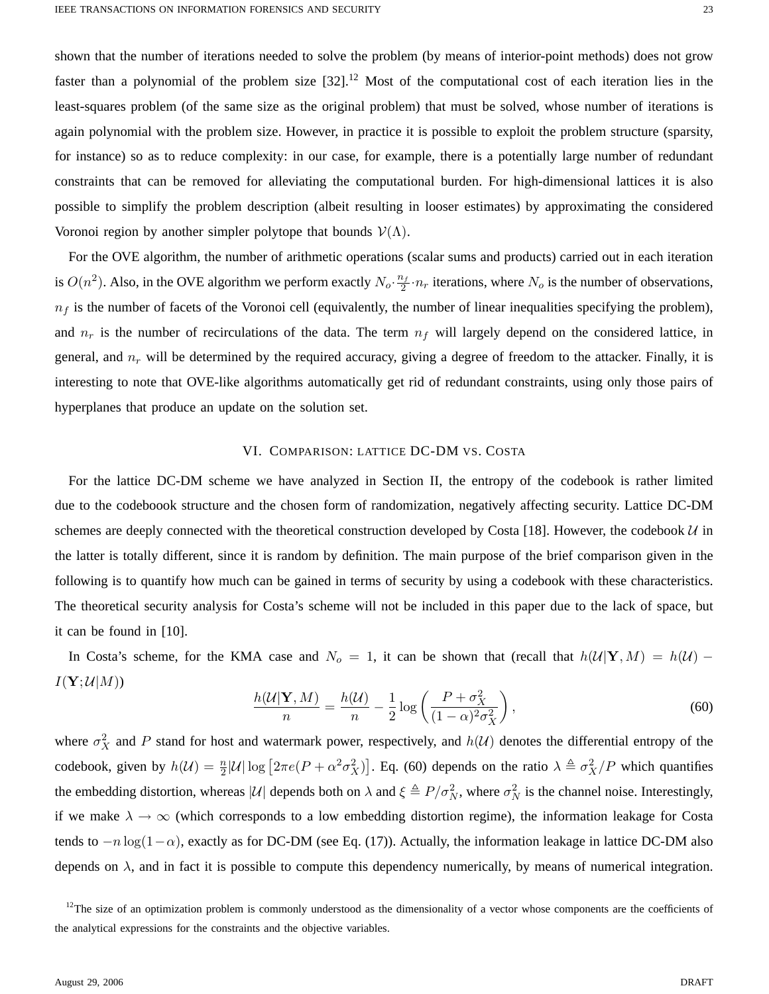shown that the number of iterations needed to solve the problem (by means of interior-point methods) does not grow faster than a polynomial of the problem size  $[32]$ .<sup>12</sup> Most of the computational cost of each iteration lies in the least-squares problem (of the same size as the original problem) that must be solved, whose number of iterations is again polynomial with the problem size. However, in practice it is possible to exploit the problem structure (sparsity, for instance) so as to reduce complexity: in our case, for example, there is a potentially large number of redundant constraints that can be removed for alleviating the computational burden. For high-dimensional lattices it is also possible to simplify the problem description (albeit resulting in looser estimates) by approximating the considered Voronoi region by another simpler polytope that bounds  $\mathcal{V}(\Lambda)$ .

For the OVE algorithm, the number of arithmetic operations (scalar sums and products) carried out in each iteration is  $O(n^2)$ . Also, in the OVE algorithm we perform exactly  $N_o \cdot \frac{n_f}{2}$  $\frac{\partial f}{\partial x} \cdot n_r$  iterations, where  $N_o$  is the number of observations,  $n_f$  is the number of facets of the Voronoi cell (equivalently, the number of linear inequalities specifying the problem), and  $n_r$  is the number of recirculations of the data. The term  $n_f$  will largely depend on the considered lattice, in general, and  $n_r$  will be determined by the required accuracy, giving a degree of freedom to the attacker. Finally, it is interesting to note that OVE-like algorithms automatically get rid of redundant constraints, using only those pairs of hyperplanes that produce an update on the solution set.

## VI. COMPARISON: LATTICE DC-DM VS. COSTA

For the lattice DC-DM scheme we have analyzed in Section II, the entropy of the codebook is rather limited due to the codeboook structure and the chosen form of randomization, negatively affecting security. Lattice DC-DM schemes are deeply connected with the theoretical construction developed by Costa [18]. However, the codebook  $U$  in the latter is totally different, since it is random by definition. The main purpose of the brief comparison given in the following is to quantify how much can be gained in terms of security by using a codebook with these characteristics. The theoretical security analysis for Costa's scheme will not be included in this paper due to the lack of space, but it can be found in [10].

In Costa's scheme, for the KMA case and  $N_o = 1$ , it can be shown that (recall that  $h(\mathcal{U}|\mathbf{Y}, M) = h(\mathcal{U})$  –  $I(Y;U|M))$ 

$$
\frac{h(\mathcal{U}|\mathbf{Y},M)}{n} = \frac{h(\mathcal{U})}{n} - \frac{1}{2}\log\left(\frac{P+\sigma_X^2}{(1-\alpha)^2\sigma_X^2}\right),\tag{60}
$$

where  $\sigma_X^2$  and P stand for host and watermark power, respectively, and  $h(\mathcal{U})$  denotes the differential entropy of the codebook, given by  $h(\mathcal{U}) = \frac{n}{2} |\mathcal{U}| \log \left[ 2\pi e(P + \alpha^2 \sigma_X^2) \right]$ . Eq. (60) depends on the ratio  $\lambda \triangleq \sigma_X^2/P$  which quantifies the embedding distortion, whereas  $|\mathcal{U}|$  depends both on  $\lambda$  and  $\xi \triangleq P/\sigma_N^2$ , where  $\sigma_N^2$  is the channel noise. Interestingly, if we make  $\lambda \to \infty$  (which corresponds to a low embedding distortion regime), the information leakage for Costa tends to  $-n \log(1-\alpha)$ , exactly as for DC-DM (see Eq. (17)). Actually, the information leakage in lattice DC-DM also depends on  $\lambda$ , and in fact it is possible to compute this dependency numerically, by means of numerical integration.

 $12$ The size of an optimization problem is commonly understood as the dimensionality of a vector whose components are the coefficients of the analytical expressions for the constraints and the objective variables.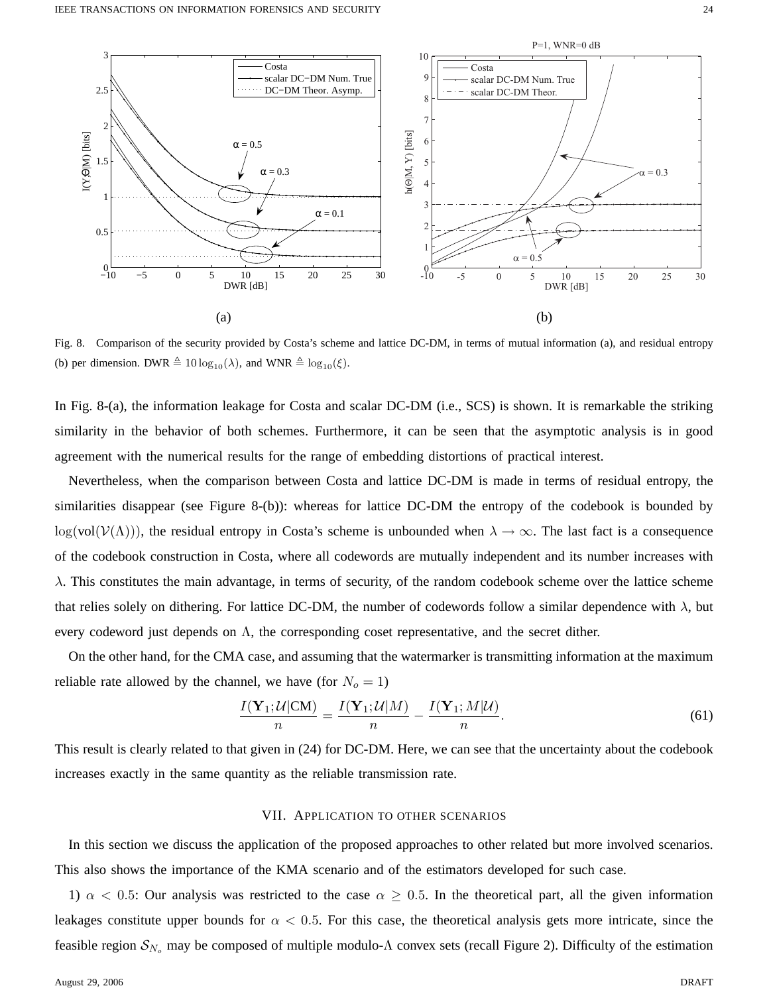

(a)

Fig. 8. Comparison of the security provided by Costa's scheme and lattice DC-DM, in terms of mutual information (a), and residual entropy (b) per dimension. DWR  $\triangleq 10 \log_{10}(\lambda)$ , and WNR  $\triangleq \log_{10}(\xi)$ .

In Fig. 8-(a), the information leakage for Costa and scalar DC-DM (i.e., SCS) is shown. It is remarkable the striking similarity in the behavior of both schemes. Furthermore, it can be seen that the asymptotic analysis is in good agreement with the numerical results for the range of embedding distortions of practical interest.

Nevertheless, when the comparison between Costa and lattice DC-DM is made in terms of residual entropy, the similarities disappear (see Figure 8-(b)): whereas for lattice DC-DM the entropy of the codebook is bounded by  $log(vol(\mathcal{V}(\Lambda)))$ , the residual entropy in Costa's scheme is unbounded when  $\lambda \to \infty$ . The last fact is a consequence of the codebook construction in Costa, where all codewords are mutually independent and its number increases with λ. This constitutes the main advantage, in terms of security, of the random codebook scheme over the lattice scheme that relies solely on dithering. For lattice DC-DM, the number of codewords follow a similar dependence with  $\lambda$ , but every codeword just depends on  $\Lambda$ , the corresponding coset representative, and the secret dither.

On the other hand, for the CMA case, and assuming that the watermarker is transmitting information at the maximum reliable rate allowed by the channel, we have (for  $N_o = 1$ )

$$
\frac{I(\mathbf{Y}_1;\mathcal{U}|\mathbf{CM})}{n} = \frac{I(\mathbf{Y}_1;\mathcal{U}|M)}{n} - \frac{I(\mathbf{Y}_1;M|\mathcal{U})}{n}.
$$
\n(61)

This result is clearly related to that given in (24) for DC-DM. Here, we can see that the uncertainty about the codebook increases exactly in the same quantity as the reliable transmission rate.

# VII. APPLICATION TO OTHER SCENARIOS

In this section we discuss the application of the proposed approaches to other related but more involved scenarios. This also shows the importance of the KMA scenario and of the estimators developed for such case.

1)  $\alpha$  < 0.5: Our analysis was restricted to the case  $\alpha \ge 0.5$ . In the theoretical part, all the given information leakages constitute upper bounds for  $\alpha < 0.5$ . For this case, the theoretical analysis gets more intricate, since the feasible region  $S_{N_o}$  may be composed of multiple modulo- $\Lambda$  convex sets (recall Figure 2). Difficulty of the estimation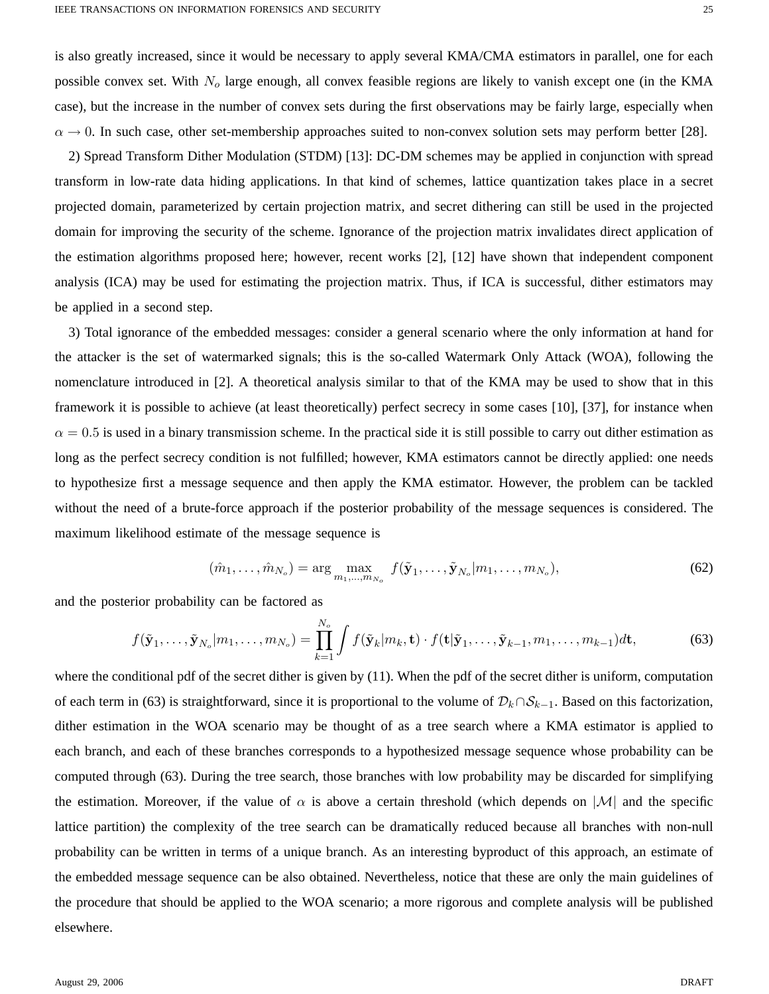is also greatly increased, since it would be necessary to apply several KMA/CMA estimators in parallel, one for each possible convex set. With  $N<sub>o</sub>$  large enough, all convex feasible regions are likely to vanish except one (in the KMA case), but the increase in the number of convex sets during the first observations may be fairly large, especially when  $\alpha \rightarrow 0$ . In such case, other set-membership approaches suited to non-convex solution sets may perform better [28].

2) Spread Transform Dither Modulation (STDM) [13]: DC-DM schemes may be applied in conjunction with spread transform in low-rate data hiding applications. In that kind of schemes, lattice quantization takes place in a secret projected domain, parameterized by certain projection matrix, and secret dithering can still be used in the projected domain for improving the security of the scheme. Ignorance of the projection matrix invalidates direct application of the estimation algorithms proposed here; however, recent works [2], [12] have shown that independent component analysis (ICA) may be used for estimating the projection matrix. Thus, if ICA is successful, dither estimators may be applied in a second step.

3) Total ignorance of the embedded messages: consider a general scenario where the only information at hand for the attacker is the set of watermarked signals; this is the so-called Watermark Only Attack (WOA), following the nomenclature introduced in [2]. A theoretical analysis similar to that of the KMA may be used to show that in this framework it is possible to achieve (at least theoretically) perfect secrecy in some cases [10], [37], for instance when  $\alpha = 0.5$  is used in a binary transmission scheme. In the practical side it is still possible to carry out dither estimation as long as the perfect secrecy condition is not fulfilled; however, KMA estimators cannot be directly applied: one needs to hypothesize first a message sequence and then apply the KMA estimator. However, the problem can be tackled without the need of a brute-force approach if the posterior probability of the message sequences is considered. The maximum likelihood estimate of the message sequence is

$$
(\hat{m}_1,\ldots,\hat{m}_{N_o}) = \arg\max_{m_1,\ldots,m_{N_o}} f(\tilde{\mathbf{y}}_1,\ldots,\tilde{\mathbf{y}}_{N_o}|m_1,\ldots,m_{N_o}),
$$
\n(62)

and the posterior probability can be factored as

$$
f(\tilde{\mathbf{y}}_1,\ldots,\tilde{\mathbf{y}}_{N_o}|m_1,\ldots,m_{N_o}) = \prod_{k=1}^{N_o} \int f(\tilde{\mathbf{y}}_k|m_k,\mathbf{t}) \cdot f(\mathbf{t}|\tilde{\mathbf{y}}_1,\ldots,\tilde{\mathbf{y}}_{k-1},m_1,\ldots,m_{k-1}) d\mathbf{t},\tag{63}
$$

where the conditional pdf of the secret dither is given by (11). When the pdf of the secret dither is uniform, computation of each term in (63) is straightforward, since it is proportional to the volume of  $\mathcal{D}_k \cap \mathcal{S}_{k-1}$ . Based on this factorization, dither estimation in the WOA scenario may be thought of as a tree search where a KMA estimator is applied to each branch, and each of these branches corresponds to a hypothesized message sequence whose probability can be computed through (63). During the tree search, those branches with low probability may be discarded for simplifying the estimation. Moreover, if the value of  $\alpha$  is above a certain threshold (which depends on |M| and the specific lattice partition) the complexity of the tree search can be dramatically reduced because all branches with non-null probability can be written in terms of a unique branch. As an interesting byproduct of this approach, an estimate of the embedded message sequence can be also obtained. Nevertheless, notice that these are only the main guidelines of the procedure that should be applied to the WOA scenario; a more rigorous and complete analysis will be published elsewhere.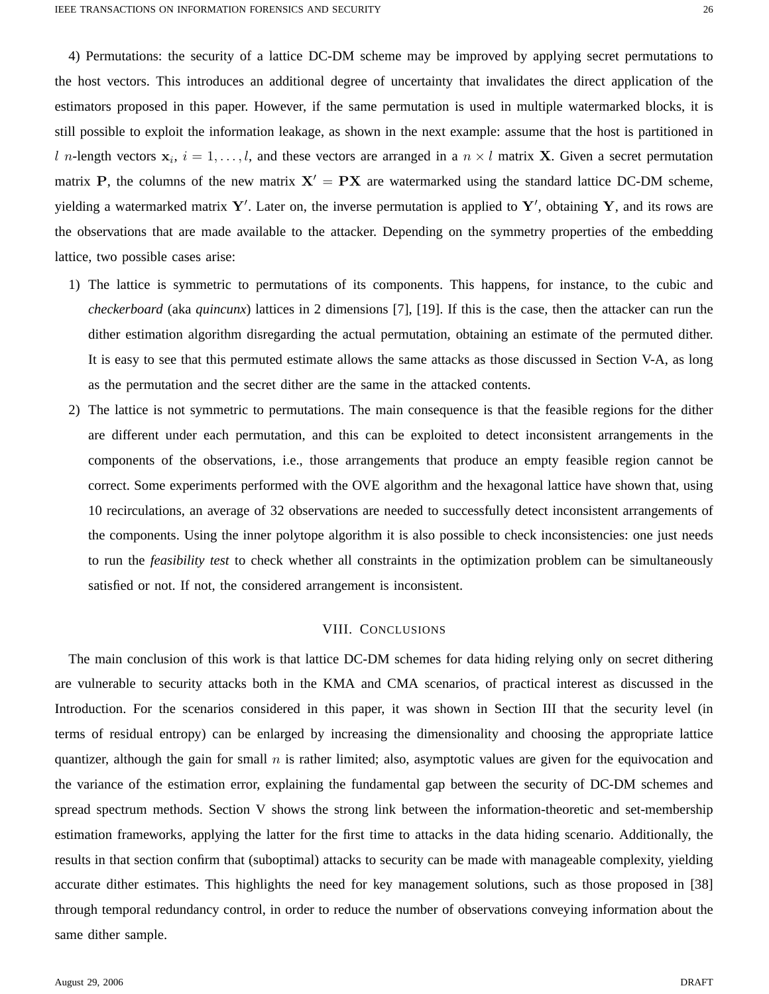4) Permutations: the security of a lattice DC-DM scheme may be improved by applying secret permutations to the host vectors. This introduces an additional degree of uncertainty that invalidates the direct application of the estimators proposed in this paper. However, if the same permutation is used in multiple watermarked blocks, it is still possible to exploit the information leakage, as shown in the next example: assume that the host is partitioned in l n-length vectors  $x_i$ ,  $i = 1, ..., l$ , and these vectors are arranged in a  $n \times l$  matrix **X**. Given a secret permutation matrix P, the columns of the new matrix  $X' = PX$  are watermarked using the standard lattice DC-DM scheme, yielding a watermarked matrix Y'. Later on, the inverse permutation is applied to Y', obtaining Y, and its rows are the observations that are made available to the attacker. Depending on the symmetry properties of the embedding lattice, two possible cases arise:

- 1) The lattice is symmetric to permutations of its components. This happens, for instance, to the cubic and *checkerboard* (aka *quincunx*) lattices in 2 dimensions [7], [19]. If this is the case, then the attacker can run the dither estimation algorithm disregarding the actual permutation, obtaining an estimate of the permuted dither. It is easy to see that this permuted estimate allows the same attacks as those discussed in Section V-A, as long as the permutation and the secret dither are the same in the attacked contents.
- 2) The lattice is not symmetric to permutations. The main consequence is that the feasible regions for the dither are different under each permutation, and this can be exploited to detect inconsistent arrangements in the components of the observations, i.e., those arrangements that produce an empty feasible region cannot be correct. Some experiments performed with the OVE algorithm and the hexagonal lattice have shown that, using 10 recirculations, an average of 32 observations are needed to successfully detect inconsistent arrangements of the components. Using the inner polytope algorithm it is also possible to check inconsistencies: one just needs to run the *feasibility test* to check whether all constraints in the optimization problem can be simultaneously satisfied or not. If not, the considered arrangement is inconsistent.

## VIII. CONCLUSIONS

The main conclusion of this work is that lattice DC-DM schemes for data hiding relying only on secret dithering are vulnerable to security attacks both in the KMA and CMA scenarios, of practical interest as discussed in the Introduction. For the scenarios considered in this paper, it was shown in Section III that the security level (in terms of residual entropy) can be enlarged by increasing the dimensionality and choosing the appropriate lattice quantizer, although the gain for small  $n$  is rather limited; also, asymptotic values are given for the equivocation and the variance of the estimation error, explaining the fundamental gap between the security of DC-DM schemes and spread spectrum methods. Section V shows the strong link between the information-theoretic and set-membership estimation frameworks, applying the latter for the first time to attacks in the data hiding scenario. Additionally, the results in that section confirm that (suboptimal) attacks to security can be made with manageable complexity, yielding accurate dither estimates. This highlights the need for key management solutions, such as those proposed in [38] through temporal redundancy control, in order to reduce the number of observations conveying information about the same dither sample.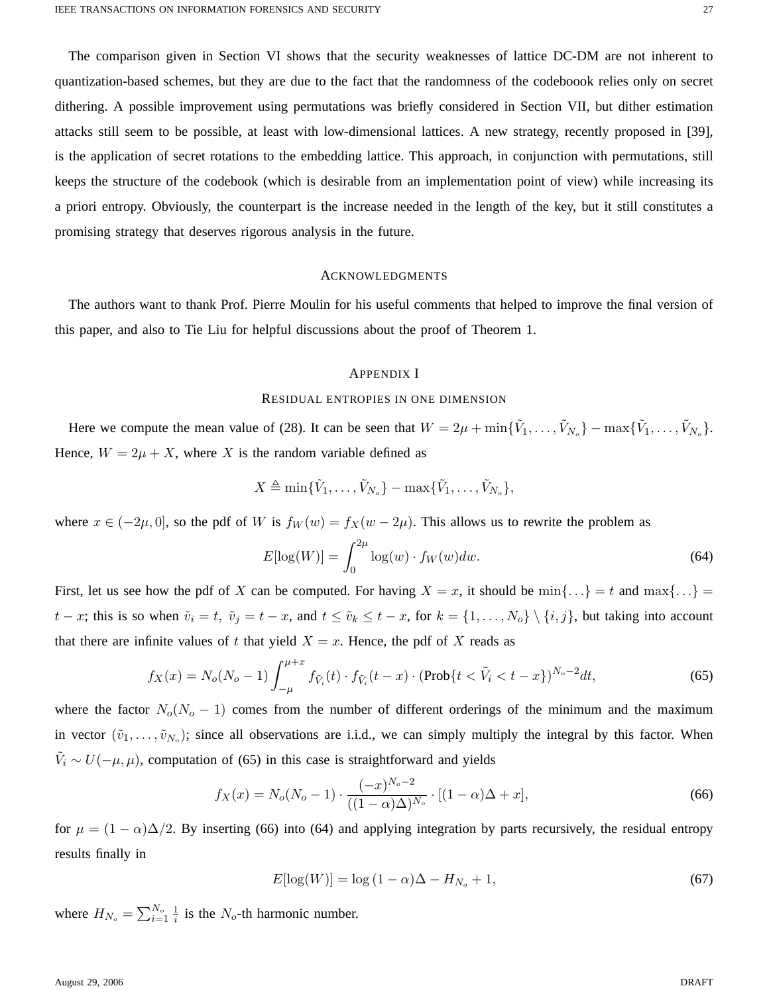The comparison given in Section VI shows that the security weaknesses of lattice DC-DM are not inherent to quantization-based schemes, but they are due to the fact that the randomness of the codeboook relies only on secret dithering. A possible improvement using permutations was briefly considered in Section VII, but dither estimation attacks still seem to be possible, at least with low-dimensional lattices. A new strategy, recently proposed in [39], is the application of secret rotations to the embedding lattice. This approach, in conjunction with permutations, still keeps the structure of the codebook (which is desirable from an implementation point of view) while increasing its a priori entropy. Obviously, the counterpart is the increase needed in the length of the key, but it still constitutes a promising strategy that deserves rigorous analysis in the future.

## **ACKNOWLEDGMENTS**

The authors want to thank Prof. Pierre Moulin for his useful comments that helped to improve the final version of this paper, and also to Tie Liu for helpful discussions about the proof of Theorem 1.

#### APPENDIX I

### RESIDUAL ENTROPIES IN ONE DIMENSION

Here we compute the mean value of (28). It can be seen that  $W = 2\mu + \min{\{\tilde{V}_1, \dots, \tilde{V}_{N_o}\}} - \max{\{\tilde{V}_1, \dots, \tilde{V}_{N_o}\}}$ . Hence,  $W = 2\mu + X$ , where X is the random variable defined as

$$
X \triangleq \min{\{\tilde{V}_1,\ldots,\tilde{V}_{N_o}\}} - \max{\{\tilde{V}_1,\ldots,\tilde{V}_{N_o}\}},
$$

where  $x \in (-2\mu, 0]$ , so the pdf of W is  $f_W(w) = f_X(w - 2\mu)$ . This allows us to rewrite the problem as

$$
E[\log(W)] = \int_0^{2\mu} \log(w) \cdot f_W(w) dw.
$$
\n(64)

First, let us see how the pdf of X can be computed. For having  $X = x$ , it should be  $\min\{\ldots\} = t$  and  $\max\{\ldots\} =$  $t - x$ ; this is so when  $\tilde{v}_i = t$ ,  $\tilde{v}_j = t - x$ , and  $t \leq \tilde{v}_k \leq t - x$ , for  $k = \{1, \ldots, N_o\} \setminus \{i, j\}$ , but taking into account that there are infinite values of t that yield  $X = x$ . Hence, the pdf of X reads as

$$
f_X(x) = N_o(N_o - 1) \int_{-\mu}^{\mu + x} f_{\tilde{V}_i}(t) \cdot f_{\tilde{V}_i}(t - x) \cdot (\text{Prob}\{t < \tilde{V}_i < t - x\})^{N_o - 2} dt,\tag{65}
$$

where the factor  $N_o(N_o - 1)$  comes from the number of different orderings of the minimum and the maximum in vector  $(\tilde{v}_1, \ldots, \tilde{v}_{N_o})$ ; since all observations are i.i.d., we can simply multiply the integral by this factor. When  $\tilde{V}_i \sim U(-\mu, \mu)$ , computation of (65) in this case is straightforward and yields

$$
f_X(x) = N_o(N_o - 1) \cdot \frac{(-x)^{N_o - 2}}{((1 - \alpha)\Delta)^{N_o}} \cdot [(1 - \alpha)\Delta + x],
$$
\n(66)

for  $\mu = (1 - \alpha)\Delta/2$ . By inserting (66) into (64) and applying integration by parts recursively, the residual entropy results finally in

$$
E[\log(W)] = \log(1 - \alpha)\Delta - H_{N_o} + 1,\tag{67}
$$

where  $H_{N_o} = \sum_{i=1}^{N_o} \frac{1}{i}$  $\frac{1}{i}$  is the  $N_o$ -th harmonic number.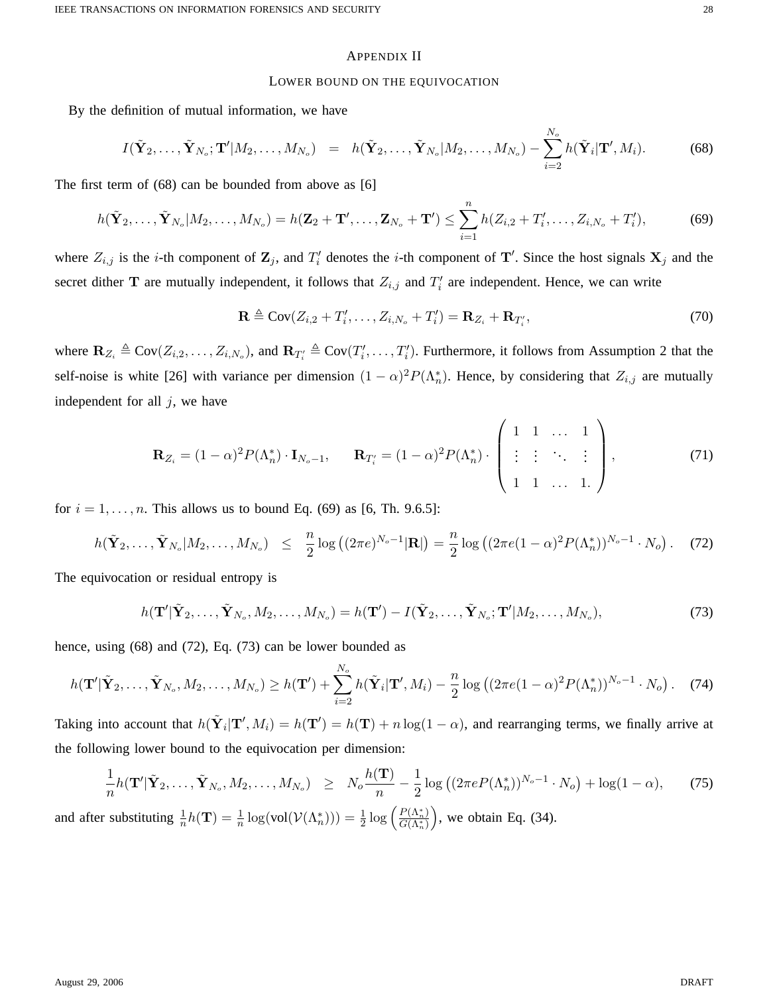#### APPENDIX II

#### LOWER BOUND ON THE EQUIVOCATION

By the definition of mutual information, we have

$$
I(\tilde{\mathbf{Y}}_2,\ldots,\tilde{\mathbf{Y}}_{N_o};\mathbf{T}'|M_2,\ldots,M_{N_o}) = h(\tilde{\mathbf{Y}}_2,\ldots,\tilde{\mathbf{Y}}_{N_o}|M_2,\ldots,M_{N_o}) - \sum_{i=2}^{N_o} h(\tilde{\mathbf{Y}}_i|\mathbf{T}',M_i).
$$
 (68)

The first term of (68) can be bounded from above as [6]

$$
h(\tilde{\mathbf{Y}}_2,\ldots,\tilde{\mathbf{Y}}_{N_o}|M_2,\ldots,M_{N_o})=h(\mathbf{Z}_2+\mathbf{T}',\ldots,\mathbf{Z}_{N_o}+\mathbf{T}')\leq \sum_{i=1}^n h(Z_{i,2}+T'_i,\ldots,Z_{i,N_o}+T'_i),
$$
(69)

where  $Z_{i,j}$  is the *i*-th component of  $\mathbf{Z}_j$ , and  $T'_i$  denotes the *i*-th component of  $\mathbf{T}'$ . Since the host signals  $\mathbf{X}_j$  and the secret dither **T** are mutually independent, it follows that  $Z_{i,j}$  and  $T'_i$  are independent. Hence, we can write

$$
\mathbf{R} \triangleq \mathbf{Cov}(Z_{i,2} + T'_i, \dots, Z_{i,N_o} + T'_i) = \mathbf{R}_{Z_i} + \mathbf{R}_{T'_i},\tag{70}
$$

where  $\mathbf{R}_{Z_i} \triangleq \text{Cov}(Z_{i,2}, \ldots, Z_{i,N_o})$ , and  $\mathbf{R}_{T_i'} \triangleq \text{Cov}(T_i', \ldots, T_i')$ . Furthermore, it follows from Assumption 2 that the self-noise is white [26] with variance per dimension  $(1 - \alpha)^2 P(\Lambda_n^*)$ . Hence, by considering that  $Z_{i,j}$  are mutually independent for all  $j$ , we have

$$
\mathbf{R}_{Z_i} = (1 - \alpha)^2 P(\Lambda_n^*) \cdot \mathbf{I}_{N_o - 1}, \qquad \mathbf{R}_{T_i'} = (1 - \alpha)^2 P(\Lambda_n^*) \cdot \begin{pmatrix} 1 & 1 & \dots & 1 \\ \vdots & \vdots & \ddots & \vdots \\ 1 & 1 & \dots & 1. \end{pmatrix}, \tag{71}
$$

for  $i = 1, ..., n$ . This allows us to bound Eq. (69) as [6, Th. 9.6.5]:

$$
h(\tilde{\mathbf{Y}}_2,\ldots,\tilde{\mathbf{Y}}_{N_o}|M_2,\ldots,M_{N_o}) \leq \frac{n}{2}\log((2\pi e)^{N_o-1}|\mathbf{R}|) = \frac{n}{2}\log((2\pi e(1-\alpha)^2 P(\Lambda_n^*))^{N_o-1} \cdot N_o).
$$
 (72)

The equivocation or residual entropy is

$$
h(\mathbf{T}'|\tilde{\mathbf{Y}}_2,\ldots,\tilde{\mathbf{Y}}_{N_o},M_2,\ldots,M_{N_o})=h(\mathbf{T}')-I(\tilde{\mathbf{Y}}_2,\ldots,\tilde{\mathbf{Y}}_{N_o};\mathbf{T}'|M_2,\ldots,M_{N_o}),
$$
\n(73)

hence, using (68) and (72), Eq. (73) can be lower bounded as

$$
h(\mathbf{T}'|\tilde{\mathbf{Y}}_2,\ldots,\tilde{\mathbf{Y}}_{N_o},M_2,\ldots,M_{N_o})\geq h(\mathbf{T}')+\sum_{i=2}^{N_o}h(\tilde{\mathbf{Y}}_i|\mathbf{T}',M_i)-\frac{n}{2}\log((2\pi e(1-\alpha)^2P(\Lambda_n^*))^{N_o-1}\cdot N_o).
$$
 (74)

Taking into account that  $h(\tilde{\mathbf{Y}}_i|\mathbf{T}',M_i) = h(\mathbf{T}') = h(\mathbf{T}) + n \log(1-\alpha)$ , and rearranging terms, we finally arrive at the following lower bound to the equivocation per dimension:

$$
\frac{1}{n}h(\mathbf{T}'|\tilde{\mathbf{Y}}_2,\ldots,\tilde{\mathbf{Y}}_{N_o},M_2,\ldots,M_{N_o}) \geq N_o \frac{h(\mathbf{T})}{n} - \frac{1}{2}\log((2\pi e P(\Lambda_n^*))^{N_o-1} \cdot N_o) + \log(1-\alpha),\tag{75}
$$

and after substituting  $\frac{1}{n}h(\mathbf{T}) = \frac{1}{n}\log(\text{vol}(\mathcal{V}(\Lambda_n^*))) = \frac{1}{2}\log\left(\frac{P(\Lambda_n^*)}{G(\Lambda_n^*)}\right)$  $G(\Lambda_n^*)$ ), we obtain Eq.  $(34)$ .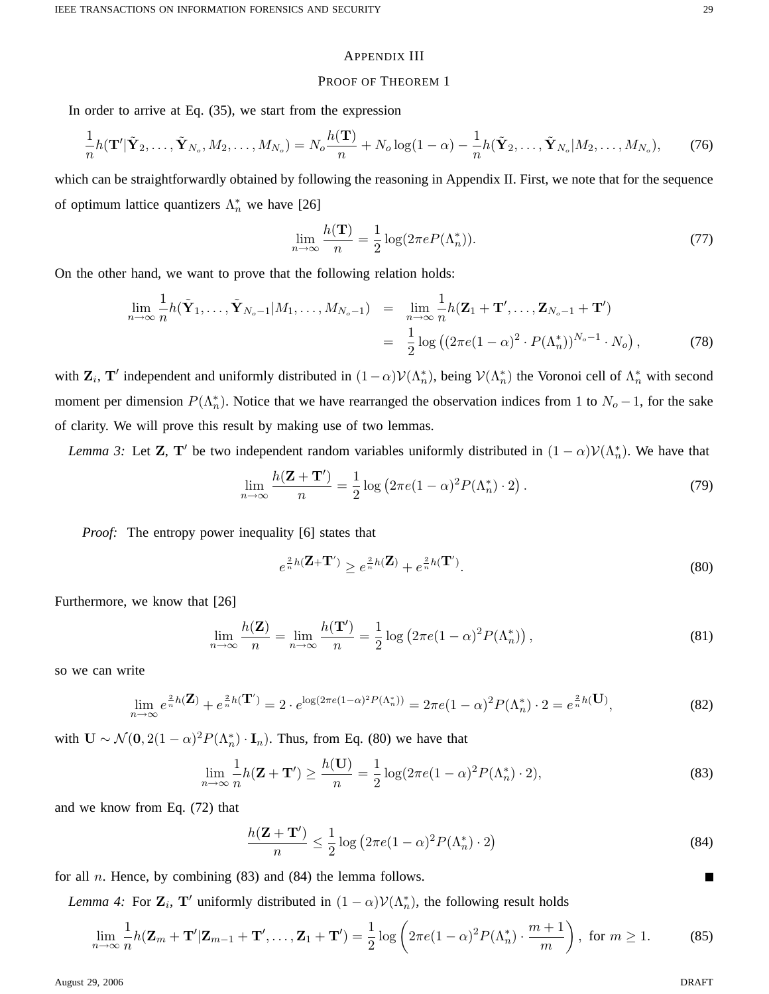#### APPENDIX III

## PROOF OF THEOREM 1

In order to arrive at Eq. (35), we start from the expression

$$
\frac{1}{n}h(\mathbf{T}'|\tilde{\mathbf{Y}}_2,\ldots,\tilde{\mathbf{Y}}_{N_o},M_2,\ldots,M_{N_o})=N_o\frac{h(\mathbf{T})}{n}+N_o\log(1-\alpha)-\frac{1}{n}h(\tilde{\mathbf{Y}}_2,\ldots,\tilde{\mathbf{Y}}_{N_o}|M_2,\ldots,M_{N_o}),
$$
 (76)

which can be straightforwardly obtained by following the reasoning in Appendix II. First, we note that for the sequence of optimum lattice quantizers  $\Lambda_n^*$  we have [26]

$$
\lim_{n \to \infty} \frac{h(\mathbf{T})}{n} = \frac{1}{2} \log(2\pi e P(\Lambda_n^*)).
$$
\n(77)

On the other hand, we want to prove that the following relation holds:

$$
\lim_{n \to \infty} \frac{1}{n} h(\tilde{\mathbf{Y}}_1, \dots, \tilde{\mathbf{Y}}_{N_o-1} | M_1, \dots, M_{N_o-1}) = \lim_{n \to \infty} \frac{1}{n} h(\mathbf{Z}_1 + \mathbf{T}', \dots, \mathbf{Z}_{N_o-1} + \mathbf{T}')
$$
  
= 
$$
\frac{1}{2} \log \left( (2\pi e(1-\alpha)^2 \cdot P(\Lambda_n^*))^{N_o-1} \cdot N_o \right),
$$
(78)

with  $\mathbf{Z}_i$ ,  $\mathbf{T}'$  independent and uniformly distributed in  $(1-\alpha)\mathcal{V}(\Lambda_n^*)$ , being  $\mathcal{V}(\Lambda_n^*)$  the Voronoi cell of  $\Lambda_n^*$  with second moment per dimension  $P(\Lambda_n^*)$ . Notice that we have rearranged the observation indices from 1 to  $N_o-1$ , for the sake of clarity. We will prove this result by making use of two lemmas.

*Lemma 3:* Let **Z**, **T**' be two independent random variables uniformly distributed in  $(1 - \alpha) \mathcal{V}(\Lambda_n^*)$ . We have that

$$
\lim_{n \to \infty} \frac{h(\mathbf{Z} + \mathbf{T}')}{n} = \frac{1}{2} \log \left( 2\pi e (1 - \alpha)^2 P(\Lambda_n^*) \cdot 2 \right).
$$
\n(79)

*Proof:* The entropy power inequality [6] states that

$$
e^{\frac{2}{n}h(\mathbf{Z}+\mathbf{T}')}\geq e^{\frac{2}{n}h(\mathbf{Z})}+e^{\frac{2}{n}h(\mathbf{T}')}.
$$
\n(80)

Furthermore, we know that [26]

$$
\lim_{n \to \infty} \frac{h(\mathbf{Z})}{n} = \lim_{n \to \infty} \frac{h(\mathbf{T}')}{n} = \frac{1}{2} \log \left( 2\pi e (1 - \alpha)^2 P(\Lambda_n^*) \right),\tag{81}
$$

so we can write

$$
\lim_{n \to \infty} e^{\frac{2}{n}h(\mathbf{Z})} + e^{\frac{2}{n}h(\mathbf{T}')} = 2 \cdot e^{\log(2\pi e(1-\alpha)^2 P(\Lambda_n^*))} = 2\pi e(1-\alpha)^2 P(\Lambda_n^*) \cdot 2 = e^{\frac{2}{n}h(\mathbf{U})},\tag{82}
$$

with  $\mathbf{U} \sim \mathcal{N}(\mathbf{0}, 2(1-\alpha)^2 P(\Lambda_n^*) \cdot \mathbf{I}_n)$ . Thus, from Eq. (80) we have that

$$
\lim_{n \to \infty} \frac{1}{n} h(\mathbf{Z} + \mathbf{T}') \ge \frac{h(\mathbf{U})}{n} = \frac{1}{2} \log(2\pi e (1 - \alpha)^2 P(\Lambda_n^*) \cdot 2),\tag{83}
$$

and we know from Eq. (72) that

$$
\frac{h(\mathbf{Z} + \mathbf{T}')}{n} \le \frac{1}{2} \log \left( 2\pi e (1 - \alpha)^2 P(\Lambda_n^*) \cdot 2 \right)
$$
\n(84)

for all  $n$ . Hence, by combining (83) and (84) the lemma follows.

*Lemma 4:* For  $\mathbf{Z}_i$ ,  $\mathbf{T}'$  uniformly distributed in  $(1 - \alpha) \mathcal{V}(\Lambda_n^*)$ , the following result holds

$$
\lim_{n \to \infty} \frac{1}{n} h(\mathbf{Z}_m + \mathbf{T}' | \mathbf{Z}_{m-1} + \mathbf{T}', \dots, \mathbf{Z}_1 + \mathbf{T}') = \frac{1}{2} \log \left( 2\pi e (1 - \alpha)^2 P(\Lambda_n^*) \cdot \frac{m+1}{m} \right), \text{ for } m \ge 1.
$$
 (85)

August 29, 2006 DRAFT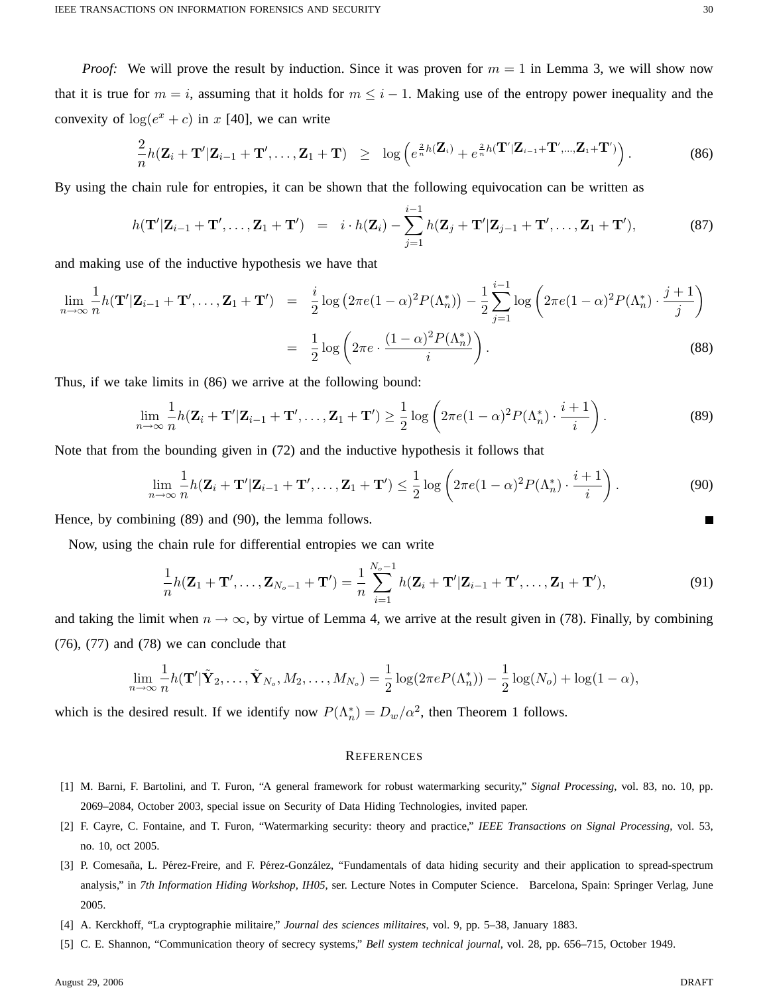*Proof:* We will prove the result by induction. Since it was proven for  $m = 1$  in Lemma 3, we will show now that it is true for  $m = i$ , assuming that it holds for  $m \leq i - 1$ . Making use of the entropy power inequality and the convexity of  $log(e^x + c)$  in x [40], we can write

$$
\frac{2}{n}h(\mathbf{Z}_{i}+\mathbf{T}'|\mathbf{Z}_{i-1}+\mathbf{T}',\ldots,\mathbf{Z}_{1}+\mathbf{T}) \geq \log\left(e^{\frac{2}{n}h(\mathbf{Z}_{i})}+e^{\frac{2}{n}h(\mathbf{T}'|\mathbf{Z}_{i-1}+\mathbf{T}',\ldots,\mathbf{Z}_{1}+\mathbf{T}')}\right).
$$
(86)

By using the chain rule for entropies, it can be shown that the following equivocation can be written as

$$
h(\mathbf{T}'|\mathbf{Z}_{i-1}+\mathbf{T}',\ldots,\mathbf{Z}_1+\mathbf{T}') = i \cdot h(\mathbf{Z}_i) - \sum_{j=1}^{i-1} h(\mathbf{Z}_j+\mathbf{T}'|\mathbf{Z}_{j-1}+\mathbf{T}',\ldots,\mathbf{Z}_1+\mathbf{T}'), \tag{87}
$$

and making use of the inductive hypothesis we have that

$$
\lim_{n \to \infty} \frac{1}{n} h(\mathbf{T}'|\mathbf{Z}_{i-1} + \mathbf{T}', \dots, \mathbf{Z}_1 + \mathbf{T}') = \frac{i}{2} \log \left( 2\pi e (1-\alpha)^2 P(\Lambda_n^*) \right) - \frac{1}{2} \sum_{j=1}^{i-1} \log \left( 2\pi e (1-\alpha)^2 P(\Lambda_n^*) \cdot \frac{j+1}{j} \right)
$$

$$
= \frac{1}{2} \log \left( 2\pi e \cdot \frac{(1-\alpha)^2 P(\Lambda_n^*)}{i} \right). \tag{88}
$$

Thus, if we take limits in (86) we arrive at the following bound:

$$
\lim_{n \to \infty} \frac{1}{n} h(\mathbf{Z}_i + \mathbf{T}' | \mathbf{Z}_{i-1} + \mathbf{T}', \dots, \mathbf{Z}_1 + \mathbf{T}') \ge \frac{1}{2} \log \left( 2\pi e (1 - \alpha)^2 P(\Lambda_n^*) \cdot \frac{i+1}{i} \right).
$$
 (89)

Note that from the bounding given in (72) and the inductive hypothesis it follows that

$$
\lim_{n \to \infty} \frac{1}{n} h(\mathbf{Z}_i + \mathbf{T}' | \mathbf{Z}_{i-1} + \mathbf{T}', \dots, \mathbf{Z}_1 + \mathbf{T}') \leq \frac{1}{2} \log \left( 2\pi e (1 - \alpha)^2 P(\Lambda_n^*) \cdot \frac{i+1}{i} \right).
$$
\n(90)

Hence, by combining (89) and (90), the lemma follows.

Now, using the chain rule for differential entropies we can write

$$
\frac{1}{n}h(\mathbf{Z}_{1}+\mathbf{T}',\ldots,\mathbf{Z}_{N_{o}-1}+\mathbf{T}')=\frac{1}{n}\sum_{i=1}^{N_{o}-1}h(\mathbf{Z}_{i}+\mathbf{T}'|\mathbf{Z}_{i-1}+\mathbf{T}',\ldots,\mathbf{Z}_{1}+\mathbf{T}'),
$$
\n(91)

and taking the limit when  $n \to \infty$ , by virtue of Lemma 4, we arrive at the result given in (78). Finally, by combining (76), (77) and (78) we can conclude that

$$
\lim_{n\to\infty}\frac{1}{n}h(\mathbf{T}'|\tilde{\mathbf{Y}}_2,\ldots,\tilde{\mathbf{Y}}_{N_o},M_2,\ldots,M_{N_o})=\frac{1}{2}\log(2\pi e P(\Lambda_n^*))-\frac{1}{2}\log(N_o)+\log(1-\alpha),
$$

which is the desired result. If we identify now  $P(\Lambda_n^*) = D_w/\alpha^2$ , then Theorem 1 follows.

#### **REFERENCES**

- [1] M. Barni, F. Bartolini, and T. Furon, "A general framework for robust watermarking security," *Signal Processing*, vol. 83, no. 10, pp. 2069–2084, October 2003, special issue on Security of Data Hiding Technologies, invited paper.
- [2] F. Cayre, C. Fontaine, and T. Furon, "Watermarking security: theory and practice," *IEEE Transactions on Signal Processing*, vol. 53, no. 10, oct 2005.
- [3] P. Comesaña, L. Pérez-Freire, and F. Pérez-González, "Fundamentals of data hiding security and their application to spread-spectrum analysis," in *7th Information Hiding Workshop, IH05*, ser. Lecture Notes in Computer Science. Barcelona, Spain: Springer Verlag, June 2005.
- [4] A. Kerckhoff, "La cryptographie militaire," *Journal des sciences militaires*, vol. 9, pp. 5–38, January 1883.
- [5] C. E. Shannon, "Communication theory of secrecy systems," *Bell system technical journal*, vol. 28, pp. 656–715, October 1949.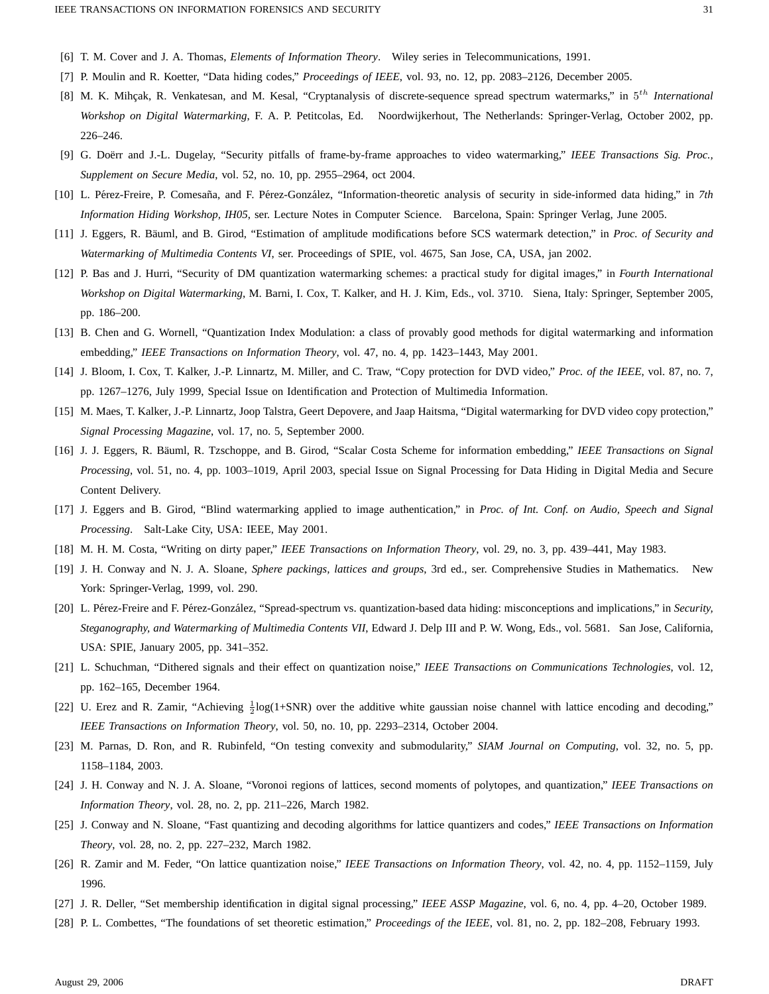- [6] T. M. Cover and J. A. Thomas, *Elements of Information Theory*. Wiley series in Telecommunications, 1991.
- [7] P. Moulin and R. Koetter, "Data hiding codes," *Proceedings of IEEE*, vol. 93, no. 12, pp. 2083–2126, December 2005.
- [8] M. K. Mihçak, R. Venkatesan, and M. Kesal, "Cryptanalysis of discrete-sequence spread spectrum watermarks," in 5<sup>th</sup> International *Workshop on Digital Watermarking*, F. A. P. Petitcolas, Ed. Noordwijkerhout, The Netherlands: Springer-Verlag, October 2002, pp. 226–246.
- [9] G. Doerr and J.-L. Dugelay, "Security pitfalls of frame-by-frame approaches to video watermarking," *IEEE Transactions Sig. Proc.*, *Supplement on Secure Media*, vol. 52, no. 10, pp. 2955–2964, oct 2004.
- [10] L. Pérez-Freire, P. Comesaña, and F. Pérez-González, "Information-theoretic analysis of security in side-informed data hiding," in 7th *Information Hiding Workshop, IH05*, ser. Lecture Notes in Computer Science. Barcelona, Spain: Springer Verlag, June 2005.
- [11] J. Eggers, R. Bäuml, and B. Girod, "Estimation of amplitude modifications before SCS watermark detection," in *Proc. of Security and Watermarking of Multimedia Contents VI*, ser. Proceedings of SPIE, vol. 4675, San Jose, CA, USA, jan 2002.
- [12] P. Bas and J. Hurri, "Security of DM quantization watermarking schemes: a practical study for digital images," in *Fourth International Workshop on Digital Watermarking*, M. Barni, I. Cox, T. Kalker, and H. J. Kim, Eds., vol. 3710. Siena, Italy: Springer, September 2005, pp. 186–200.
- [13] B. Chen and G. Wornell, "Quantization Index Modulation: a class of provably good methods for digital watermarking and information embedding," *IEEE Transactions on Information Theory*, vol. 47, no. 4, pp. 1423–1443, May 2001.
- [14] J. Bloom, I. Cox, T. Kalker, J.-P. Linnartz, M. Miller, and C. Traw, "Copy protection for DVD video," *Proc. of the IEEE*, vol. 87, no. 7, pp. 1267–1276, July 1999, Special Issue on Identification and Protection of Multimedia Information.
- [15] M. Maes, T. Kalker, J.-P. Linnartz, Joop Talstra, Geert Depovere, and Jaap Haitsma, "Digital watermarking for DVD video copy protection," *Signal Processing Magazine*, vol. 17, no. 5, September 2000.
- [16] J. J. Eggers, R. Bäuml, R. Tzschoppe, and B. Girod, "Scalar Costa Scheme for information embedding," *IEEE Transactions on Signal Processing*, vol. 51, no. 4, pp. 1003–1019, April 2003, special Issue on Signal Processing for Data Hiding in Digital Media and Secure Content Delivery.
- [17] J. Eggers and B. Girod, "Blind watermarking applied to image authentication," in *Proc. of Int. Conf. on Audio, Speech and Signal Processing*. Salt-Lake City, USA: IEEE, May 2001.
- [18] M. H. M. Costa, "Writing on dirty paper," *IEEE Transactions on Information Theory*, vol. 29, no. 3, pp. 439–441, May 1983.
- [19] J. H. Conway and N. J. A. Sloane, *Sphere packings, lattices and groups*, 3rd ed., ser. Comprehensive Studies in Mathematics. New York: Springer-Verlag, 1999, vol. 290.
- [20] L. Pérez-Freire and F. Pérez-González, "Spread-spectrum vs. quantization-based data hiding: misconceptions and implications," in *Security*, *Steganography, and Watermarking of Multimedia Contents VII*, Edward J. Delp III and P. W. Wong, Eds., vol. 5681. San Jose, California, USA: SPIE, January 2005, pp. 341–352.
- [21] L. Schuchman, "Dithered signals and their effect on quantization noise," *IEEE Transactions on Communications Technologies*, vol. 12, pp. 162–165, December 1964.
- [22] U. Erez and R. Zamir, "Achieving  $\frac{1}{2}$ log(1+SNR) over the additive white gaussian noise channel with lattice encoding and decoding," *IEEE Transactions on Information Theory*, vol. 50, no. 10, pp. 2293–2314, October 2004.
- [23] M. Parnas, D. Ron, and R. Rubinfeld, "On testing convexity and submodularity," *SIAM Journal on Computing*, vol. 32, no. 5, pp. 1158–1184, 2003.
- [24] J. H. Conway and N. J. A. Sloane, "Voronoi regions of lattices, second moments of polytopes, and quantization," *IEEE Transactions on Information Theory*, vol. 28, no. 2, pp. 211–226, March 1982.
- [25] J. Conway and N. Sloane, "Fast quantizing and decoding algorithms for lattice quantizers and codes," *IEEE Transactions on Information Theory*, vol. 28, no. 2, pp. 227–232, March 1982.
- [26] R. Zamir and M. Feder, "On lattice quantization noise," *IEEE Transactions on Information Theory*, vol. 42, no. 4, pp. 1152–1159, July 1996.
- [27] J. R. Deller, "Set membership identification in digital signal processing," *IEEE ASSP Magazine*, vol. 6, no. 4, pp. 4–20, October 1989.
- [28] P. L. Combettes, "The foundations of set theoretic estimation," *Proceedings of the IEEE*, vol. 81, no. 2, pp. 182–208, February 1993.